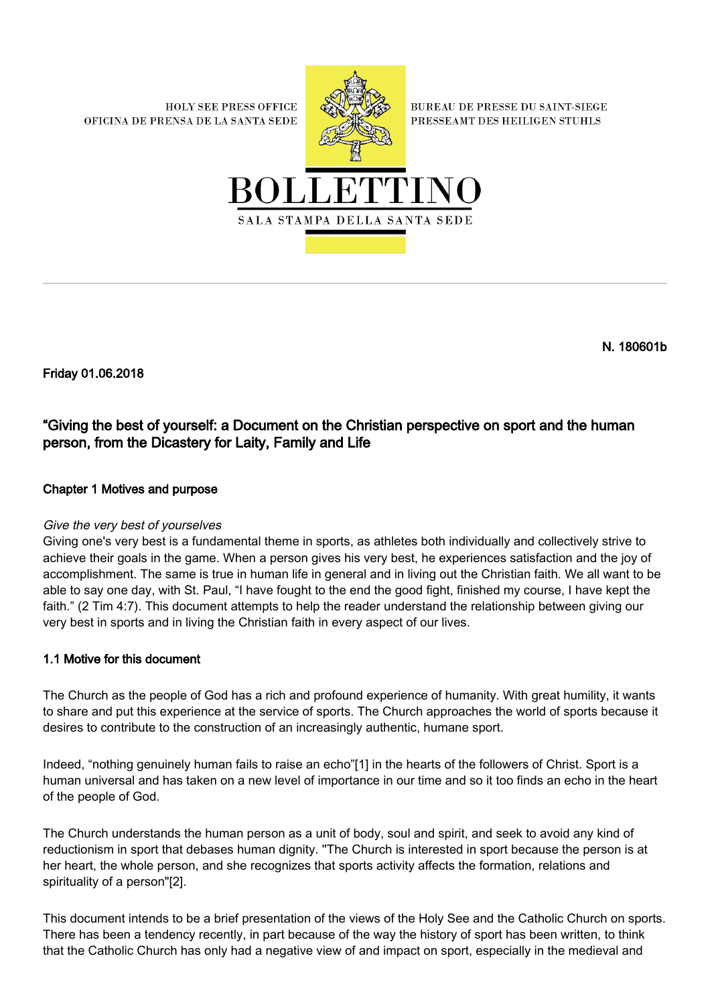**HOLY SEE PRESS OFFICE** OFICINA DE PRENSA DE LA SANTA SEDE



**BUREAU DE PRESSE DU SAINT-SIEGE** PRESSEAMT DES HEILIGEN STUHLS



N. 180601b

Friday 01.06.2018

# "Giving the best of yourself: a Document on the Christian perspective on sport and the human person, from the Dicastery for Laity, Family and Life

# Chapter 1 Motives and purpose

# Give the very best of yourselves

Giving one's very best is a fundamental theme in sports, as athletes both individually and collectively strive to achieve their goals in the game. When a person gives his very best, he experiences satisfaction and the joy of accomplishment. The same is true in human life in general and in living out the Christian faith. We all want to be able to say one day, with St. Paul, "I have fought to the end the good fight, finished my course, I have kept the faith." (2 Tim 4:7). This document attempts to help the reader understand the relationship between giving our very best in sports and in living the Christian faith in every aspect of our lives.

# 1.1 Motive for this document

The Church as the people of God has a rich and profound experience of humanity. With great humility, it wants to share and put this experience at the service of sports. The Church approaches the world of sports because it desires to contribute to the construction of an increasingly authentic, humane sport.

Indeed, "nothing genuinely human fails to raise an echo"[1] in the hearts of the followers of Christ. Sport is a human universal and has taken on a new level of importance in our time and so it too finds an echo in the heart of the people of God.

The Church understands the human person as a unit of body, soul and spirit, and seek to avoid any kind of reductionism in sport that debases human dignity. ''The Church is interested in sport because the person is at her heart, the whole person, and she recognizes that sports activity affects the formation, relations and spirituality of a person"[2].

This document intends to be a brief presentation of the views of the Holy See and the Catholic Church on sports. There has been a tendency recently, in part because of the way the history of sport has been written, to think that the Catholic Church has only had a negative view of and impact on sport, especially in the medieval and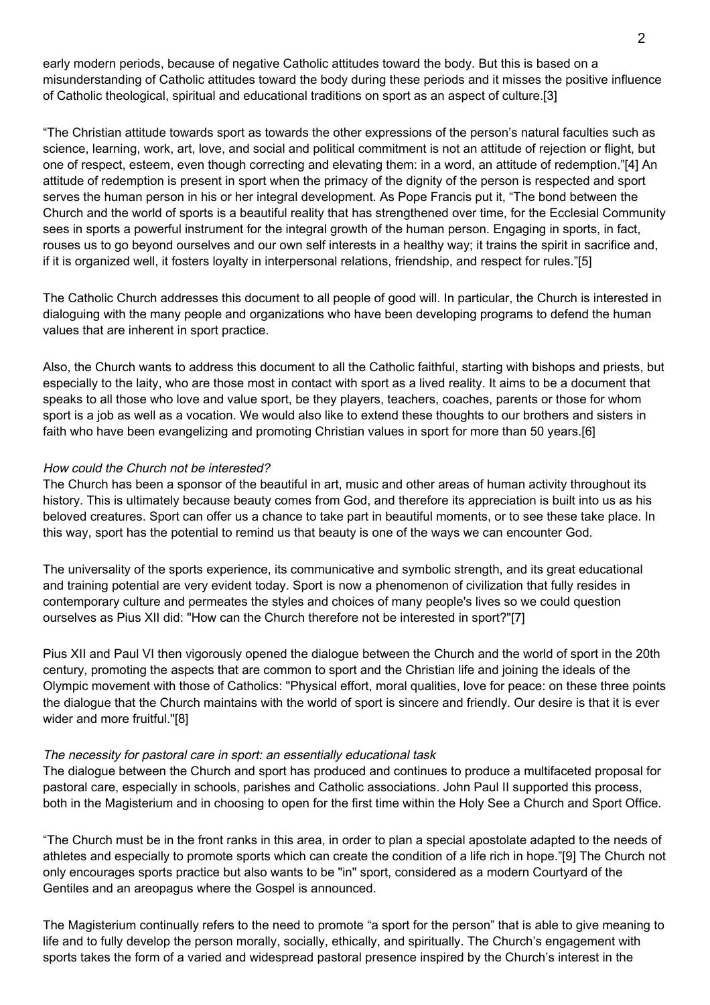early modern periods, because of negative Catholic attitudes toward the body. But this is based on a misunderstanding of Catholic attitudes toward the body during these periods and it misses the positive influence of Catholic theological, spiritual and educational traditions on sport as an aspect of culture.[3]

"The Christian attitude towards sport as towards the other expressions of the person's natural faculties such as science, learning, work, art, love, and social and political commitment is not an attitude of rejection or flight, but one of respect, esteem, even though correcting and elevating them: in a word, an attitude of redemption."[4] An attitude of redemption is present in sport when the primacy of the dignity of the person is respected and sport serves the human person in his or her integral development. As Pope Francis put it, "The bond between the Church and the world of sports is a beautiful reality that has strengthened over time, for the Ecclesial Community sees in sports a powerful instrument for the integral growth of the human person. Engaging in sports, in fact, rouses us to go beyond ourselves and our own self interests in a healthy way; it trains the spirit in sacrifice and, if it is organized well, it fosters loyalty in interpersonal relations, friendship, and respect for rules."[5]

The Catholic Church addresses this document to all people of good will. In particular, the Church is interested in dialoguing with the many people and organizations who have been developing programs to defend the human values that are inherent in sport practice.

Also, the Church wants to address this document to all the Catholic faithful, starting with bishops and priests, but especially to the laity, who are those most in contact with sport as a lived reality. It aims to be a document that speaks to all those who love and value sport, be they players, teachers, coaches, parents or those for whom sport is a job as well as a vocation. We would also like to extend these thoughts to our brothers and sisters in faith who have been evangelizing and promoting Christian values in sport for more than 50 years.[6]

#### How could the Church not be interested?

The Church has been a sponsor of the beautiful in art, music and other areas of human activity throughout its history. This is ultimately because beauty comes from God, and therefore its appreciation is built into us as his beloved creatures. Sport can offer us a chance to take part in beautiful moments, or to see these take place. In this way, sport has the potential to remind us that beauty is one of the ways we can encounter God.

The universality of the sports experience, its communicative and symbolic strength, and its great educational and training potential are very evident today. Sport is now a phenomenon of civilization that fully resides in contemporary culture and permeates the styles and choices of many people's lives so we could question ourselves as Pius XII did: "How can the Church therefore not be interested in sport?"[7]

Pius XII and Paul VI then vigorously opened the dialogue between the Church and the world of sport in the 20th century, promoting the aspects that are common to sport and the Christian life and joining the ideals of the Olympic movement with those of Catholics: "Physical effort, moral qualities, love for peace: on these three points the dialogue that the Church maintains with the world of sport is sincere and friendly. Our desire is that it is ever wider and more fruitful."[8]

#### The necessity for pastoral care in sport: an essentially educational task

The dialogue between the Church and sport has produced and continues to produce a multifaceted proposal for pastoral care, especially in schools, parishes and Catholic associations. John Paul II supported this process, both in the Magisterium and in choosing to open for the first time within the Holy See a Church and Sport Office.

"The Church must be in the front ranks in this area, in order to plan a special apostolate adapted to the needs of athletes and especially to promote sports which can create the condition of a life rich in hope."[9] The Church not only encourages sports practice but also wants to be "in" sport, considered as a modern Courtyard of the Gentiles and an areopagus where the Gospel is announced.

The Magisterium continually refers to the need to promote "a sport for the person" that is able to give meaning to life and to fully develop the person morally, socially, ethically, and spiritually. The Church's engagement with sports takes the form of a varied and widespread pastoral presence inspired by the Church's interest in the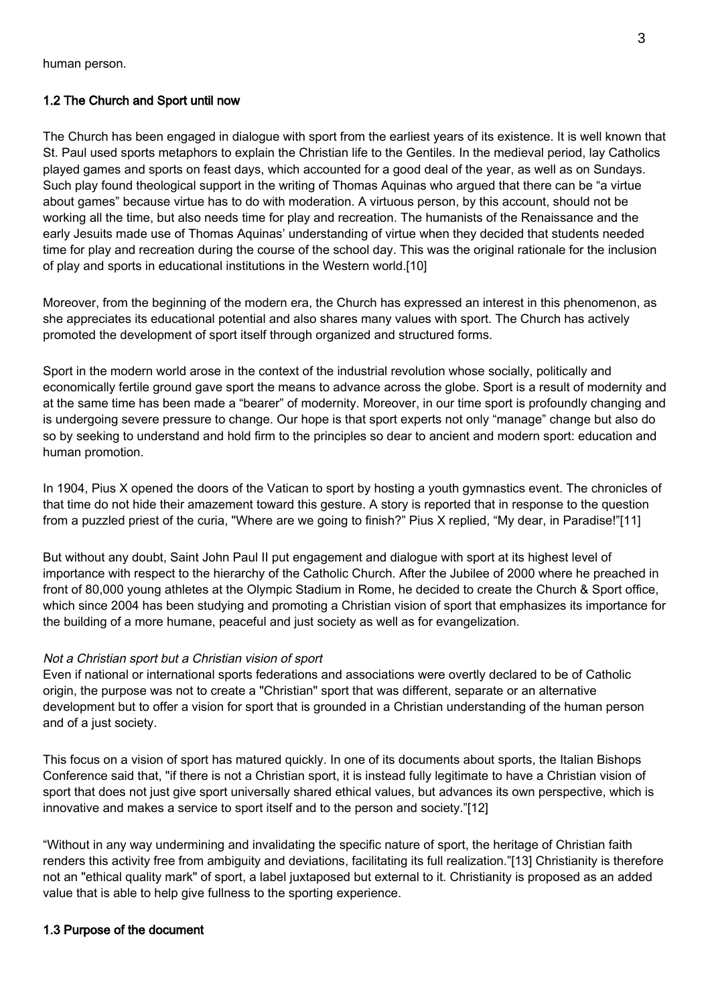# 1.2 The Church and Sport until now

The Church has been engaged in dialogue with sport from the earliest years of its existence. It is well known that St. Paul used sports metaphors to explain the Christian life to the Gentiles. In the medieval period, lay Catholics played games and sports on feast days, which accounted for a good deal of the year, as well as on Sundays. Such play found theological support in the writing of Thomas Aquinas who argued that there can be "a virtue about games" because virtue has to do with moderation. A virtuous person, by this account, should not be working all the time, but also needs time for play and recreation. The humanists of the Renaissance and the early Jesuits made use of Thomas Aquinas' understanding of virtue when they decided that students needed time for play and recreation during the course of the school day. This was the original rationale for the inclusion of play and sports in educational institutions in the Western world.[10]

Moreover, from the beginning of the modern era, the Church has expressed an interest in this phenomenon, as she appreciates its educational potential and also shares many values with sport. The Church has actively promoted the development of sport itself through organized and structured forms.

Sport in the modern world arose in the context of the industrial revolution whose socially, politically and economically fertile ground gave sport the means to advance across the globe. Sport is a result of modernity and at the same time has been made a "bearer" of modernity. Moreover, in our time sport is profoundly changing and is undergoing severe pressure to change. Our hope is that sport experts not only "manage" change but also do so by seeking to understand and hold firm to the principles so dear to ancient and modern sport: education and human promotion.

In 1904, Pius X opened the doors of the Vatican to sport by hosting a youth gymnastics event. The chronicles of that time do not hide their amazement toward this gesture. A story is reported that in response to the question from a puzzled priest of the curia, "Where are we going to finish?" Pius X replied, "My dear, in Paradise!"[11]

But without any doubt, Saint John Paul II put engagement and dialogue with sport at its highest level of importance with respect to the hierarchy of the Catholic Church. After the Jubilee of 2000 where he preached in front of 80,000 young athletes at the Olympic Stadium in Rome, he decided to create the Church & Sport office, which since 2004 has been studying and promoting a Christian vision of sport that emphasizes its importance for the building of a more humane, peaceful and just society as well as for evangelization.

# Not a Christian sport but a Christian vision of sport

Even if national or international sports federations and associations were overtly declared to be of Catholic origin, the purpose was not to create a "Christian" sport that was different, separate or an alternative development but to offer a vision for sport that is grounded in a Christian understanding of the human person and of a just society.

This focus on a vision of sport has matured quickly. In one of its documents about sports, the Italian Bishops Conference said that, "if there is not a Christian sport, it is instead fully legitimate to have a Christian vision of sport that does not just give sport universally shared ethical values, but advances its own perspective, which is innovative and makes a service to sport itself and to the person and society."[12]

"Without in any way undermining and invalidating the specific nature of sport, the heritage of Christian faith renders this activity free from ambiguity and deviations, facilitating its full realization."[13] Christianity is therefore not an "ethical quality mark" of sport, a label juxtaposed but external to it. Christianity is proposed as an added value that is able to help give fullness to the sporting experience.

# 1.3 Purpose of the document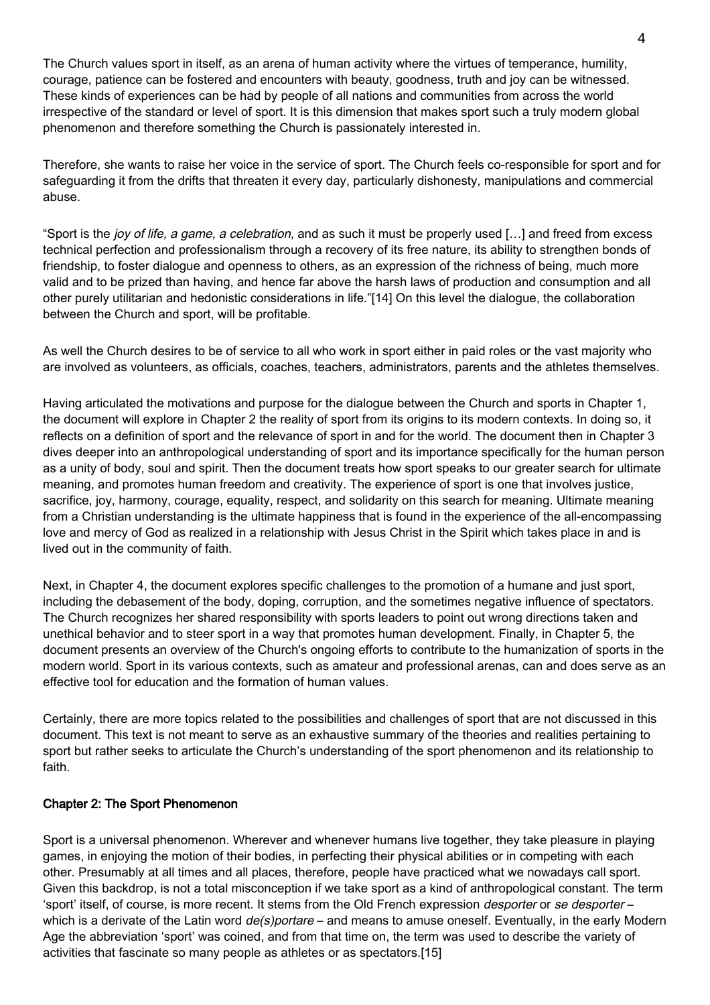The Church values sport in itself, as an arena of human activity where the virtues of temperance, humility, courage, patience can be fostered and encounters with beauty, goodness, truth and joy can be witnessed. These kinds of experiences can be had by people of all nations and communities from across the world irrespective of the standard or level of sport. It is this dimension that makes sport such a truly modern global phenomenon and therefore something the Church is passionately interested in.

Therefore, she wants to raise her voice in the service of sport. The Church feels co-responsible for sport and for safeguarding it from the drifts that threaten it every day, particularly dishonesty, manipulations and commercial abuse.

"Sport is the joy of life, a game, a celebration, and as such it must be properly used [...] and freed from excess technical perfection and professionalism through a recovery of its free nature, its ability to strengthen bonds of friendship, to foster dialogue and openness to others, as an expression of the richness of being, much more valid and to be prized than having, and hence far above the harsh laws of production and consumption and all other purely utilitarian and hedonistic considerations in life."[14] On this level the dialogue, the collaboration between the Church and sport, will be profitable.

As well the Church desires to be of service to all who work in sport either in paid roles or the vast majority who are involved as volunteers, as officials, coaches, teachers, administrators, parents and the athletes themselves.

Having articulated the motivations and purpose for the dialogue between the Church and sports in Chapter 1, the document will explore in Chapter 2 the reality of sport from its origins to its modern contexts. In doing so, it reflects on a definition of sport and the relevance of sport in and for the world. The document then in Chapter 3 dives deeper into an anthropological understanding of sport and its importance specifically for the human person as a unity of body, soul and spirit. Then the document treats how sport speaks to our greater search for ultimate meaning, and promotes human freedom and creativity. The experience of sport is one that involves justice, sacrifice, joy, harmony, courage, equality, respect, and solidarity on this search for meaning. Ultimate meaning from a Christian understanding is the ultimate happiness that is found in the experience of the all-encompassing love and mercy of God as realized in a relationship with Jesus Christ in the Spirit which takes place in and is lived out in the community of faith.

Next, in Chapter 4, the document explores specific challenges to the promotion of a humane and just sport, including the debasement of the body, doping, corruption, and the sometimes negative influence of spectators. The Church recognizes her shared responsibility with sports leaders to point out wrong directions taken and unethical behavior and to steer sport in a way that promotes human development. Finally, in Chapter 5, the document presents an overview of the Church's ongoing efforts to contribute to the humanization of sports in the modern world. Sport in its various contexts, such as amateur and professional arenas, can and does serve as an effective tool for education and the formation of human values.

Certainly, there are more topics related to the possibilities and challenges of sport that are not discussed in this document. This text is not meant to serve as an exhaustive summary of the theories and realities pertaining to sport but rather seeks to articulate the Church's understanding of the sport phenomenon and its relationship to faith.

# Chapter 2: The Sport Phenomenon

Sport is a universal phenomenon. Wherever and whenever humans live together, they take pleasure in playing games, in enjoying the motion of their bodies, in perfecting their physical abilities or in competing with each other. Presumably at all times and all places, therefore, people have practiced what we nowadays call sport. Given this backdrop, is not a total misconception if we take sport as a kind of anthropological constant. The term 'sport' itself, of course, is more recent. It stems from the Old French expression desporter or se desporter which is a derivate of the Latin word  $de(s)$  portare – and means to amuse oneself. Eventually, in the early Modern Age the abbreviation 'sport' was coined, and from that time on, the term was used to describe the variety of activities that fascinate so many people as athletes or as spectators.[15]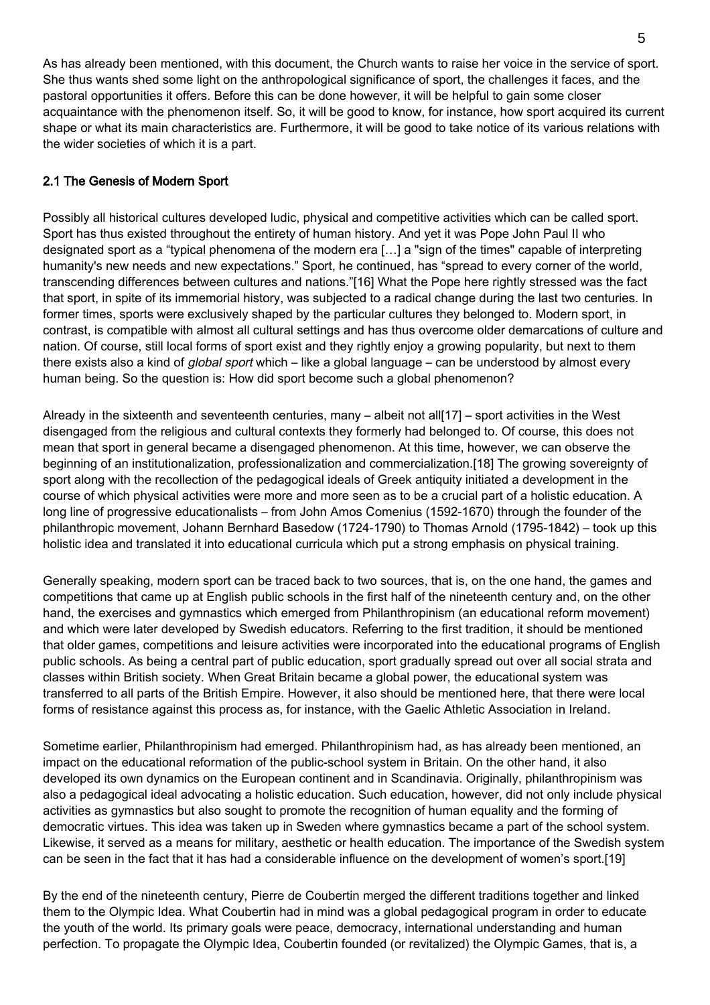As has already been mentioned, with this document, the Church wants to raise her voice in the service of sport. She thus wants shed some light on the anthropological significance of sport, the challenges it faces, and the pastoral opportunities it offers. Before this can be done however, it will be helpful to gain some closer acquaintance with the phenomenon itself. So, it will be good to know, for instance, how sport acquired its current shape or what its main characteristics are. Furthermore, it will be good to take notice of its various relations with the wider societies of which it is a part.

# 2.1 The Genesis of Modern Sport

Possibly all historical cultures developed ludic, physical and competitive activities which can be called sport. Sport has thus existed throughout the entirety of human history. And yet it was Pope John Paul II who designated sport as a "typical phenomena of the modern era […] a "sign of the times" capable of interpreting humanity's new needs and new expectations." Sport, he continued, has "spread to every corner of the world, transcending differences between cultures and nations."[16] What the Pope here rightly stressed was the fact that sport, in spite of its immemorial history, was subjected to a radical change during the last two centuries. In former times, sports were exclusively shaped by the particular cultures they belonged to. Modern sport, in contrast, is compatible with almost all cultural settings and has thus overcome older demarcations of culture and nation. Of course, still local forms of sport exist and they rightly enjoy a growing popularity, but next to them there exists also a kind of *global sport* which – like a global language – can be understood by almost every human being. So the question is: How did sport become such a global phenomenon?

Already in the sixteenth and seventeenth centuries, many – albeit not all[17] – sport activities in the West disengaged from the religious and cultural contexts they formerly had belonged to. Of course, this does not mean that sport in general became a disengaged phenomenon. At this time, however, we can observe the beginning of an institutionalization, professionalization and commercialization.[18] The growing sovereignty of sport along with the recollection of the pedagogical ideals of Greek antiquity initiated a development in the course of which physical activities were more and more seen as to be a crucial part of a holistic education. A long line of progressive educationalists – from John Amos Comenius (1592-1670) through the founder of the philanthropic movement, Johann Bernhard Basedow (1724-1790) to Thomas Arnold (1795-1842) – took up this holistic idea and translated it into educational curricula which put a strong emphasis on physical training.

Generally speaking, modern sport can be traced back to two sources, that is, on the one hand, the games and competitions that came up at English public schools in the first half of the nineteenth century and, on the other hand, the exercises and gymnastics which emerged from Philanthropinism (an educational reform movement) and which were later developed by Swedish educators. Referring to the first tradition, it should be mentioned that older games, competitions and leisure activities were incorporated into the educational programs of English public schools. As being a central part of public education, sport gradually spread out over all social strata and classes within British society. When Great Britain became a global power, the educational system was transferred to all parts of the British Empire. However, it also should be mentioned here, that there were local forms of resistance against this process as, for instance, with the Gaelic Athletic Association in Ireland.

Sometime earlier, Philanthropinism had emerged. Philanthropinism had, as has already been mentioned, an impact on the educational reformation of the public-school system in Britain. On the other hand, it also developed its own dynamics on the European continent and in Scandinavia. Originally, philanthropinism was also a pedagogical ideal advocating a holistic education. Such education, however, did not only include physical activities as gymnastics but also sought to promote the recognition of human equality and the forming of democratic virtues. This idea was taken up in Sweden where gymnastics became a part of the school system. Likewise, it served as a means for military, aesthetic or health education. The importance of the Swedish system can be seen in the fact that it has had a considerable influence on the development of women's sport.[19]

By the end of the nineteenth century, Pierre de Coubertin merged the different traditions together and linked them to the Olympic Idea. What Coubertin had in mind was a global pedagogical program in order to educate the youth of the world. Its primary goals were peace, democracy, international understanding and human perfection. To propagate the Olympic Idea, Coubertin founded (or revitalized) the Olympic Games, that is, a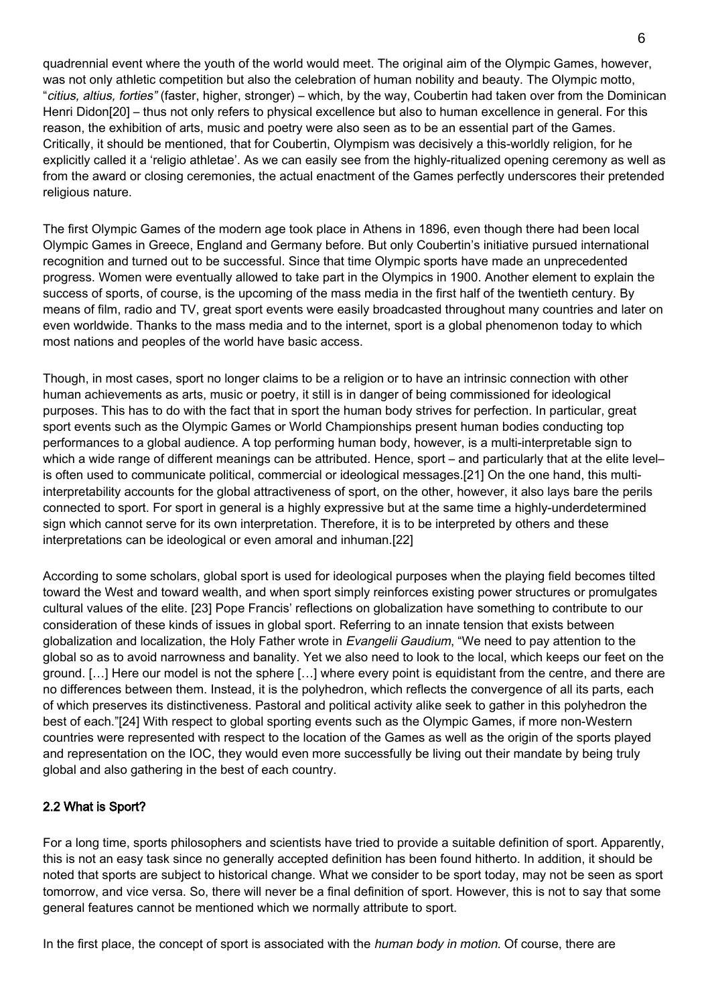quadrennial event where the youth of the world would meet. The original aim of the Olympic Games, however, was not only athletic competition but also the celebration of human nobility and beauty. The Olympic motto, "citius, altius, forties" (faster, higher, stronger) – which, by the way, Coubertin had taken over from the Dominican Henri Didon[20] – thus not only refers to physical excellence but also to human excellence in general. For this reason, the exhibition of arts, music and poetry were also seen as to be an essential part of the Games. Critically, it should be mentioned, that for Coubertin, Olympism was decisively a this-worldly religion, for he explicitly called it a 'religio athletae'. As we can easily see from the highly-ritualized opening ceremony as well as from the award or closing ceremonies, the actual enactment of the Games perfectly underscores their pretended religious nature.

The first Olympic Games of the modern age took place in Athens in 1896, even though there had been local Olympic Games in Greece, England and Germany before. But only Coubertin's initiative pursued international recognition and turned out to be successful. Since that time Olympic sports have made an unprecedented progress. Women were eventually allowed to take part in the Olympics in 1900. Another element to explain the success of sports, of course, is the upcoming of the mass media in the first half of the twentieth century. By means of film, radio and TV, great sport events were easily broadcasted throughout many countries and later on even worldwide. Thanks to the mass media and to the internet, sport is a global phenomenon today to which most nations and peoples of the world have basic access.

Though, in most cases, sport no longer claims to be a religion or to have an intrinsic connection with other human achievements as arts, music or poetry, it still is in danger of being commissioned for ideological purposes. This has to do with the fact that in sport the human body strives for perfection. In particular, great sport events such as the Olympic Games or World Championships present human bodies conducting top performances to a global audience. A top performing human body, however, is a multi-interpretable sign to which a wide range of different meanings can be attributed. Hence, sport – and particularly that at the elite level– is often used to communicate political, commercial or ideological messages.[21] On the one hand, this multiinterpretability accounts for the global attractiveness of sport, on the other, however, it also lays bare the perils connected to sport. For sport in general is a highly expressive but at the same time a highly-underdetermined sign which cannot serve for its own interpretation. Therefore, it is to be interpreted by others and these interpretations can be ideological or even amoral and inhuman.[22]

According to some scholars, global sport is used for ideological purposes when the playing field becomes tilted toward the West and toward wealth, and when sport simply reinforces existing power structures or promulgates cultural values of the elite. [23] Pope Francis' reflections on globalization have something to contribute to our consideration of these kinds of issues in global sport. Referring to an innate tension that exists between globalization and localization, the Holy Father wrote in Evangelii Gaudium, "We need to pay attention to the global so as to avoid narrowness and banality. Yet we also need to look to the local, which keeps our feet on the ground. […] Here our model is not the sphere […] where every point is equidistant from the centre, and there are no differences between them. Instead, it is the polyhedron, which reflects the convergence of all its parts, each of which preserves its distinctiveness. Pastoral and political activity alike seek to gather in this polyhedron the best of each."[24] With respect to global sporting events such as the Olympic Games, if more non-Western countries were represented with respect to the location of the Games as well as the origin of the sports played and representation on the IOC, they would even more successfully be living out their mandate by being truly global and also gathering in the best of each country.

# 2.2 What is Sport?

For a long time, sports philosophers and scientists have tried to provide a suitable definition of sport. Apparently, this is not an easy task since no generally accepted definition has been found hitherto. In addition, it should be noted that sports are subject to historical change. What we consider to be sport today, may not be seen as sport tomorrow, and vice versa. So, there will never be a final definition of sport. However, this is not to say that some general features cannot be mentioned which we normally attribute to sport.

In the first place, the concept of sport is associated with the *human body in motion*. Of course, there are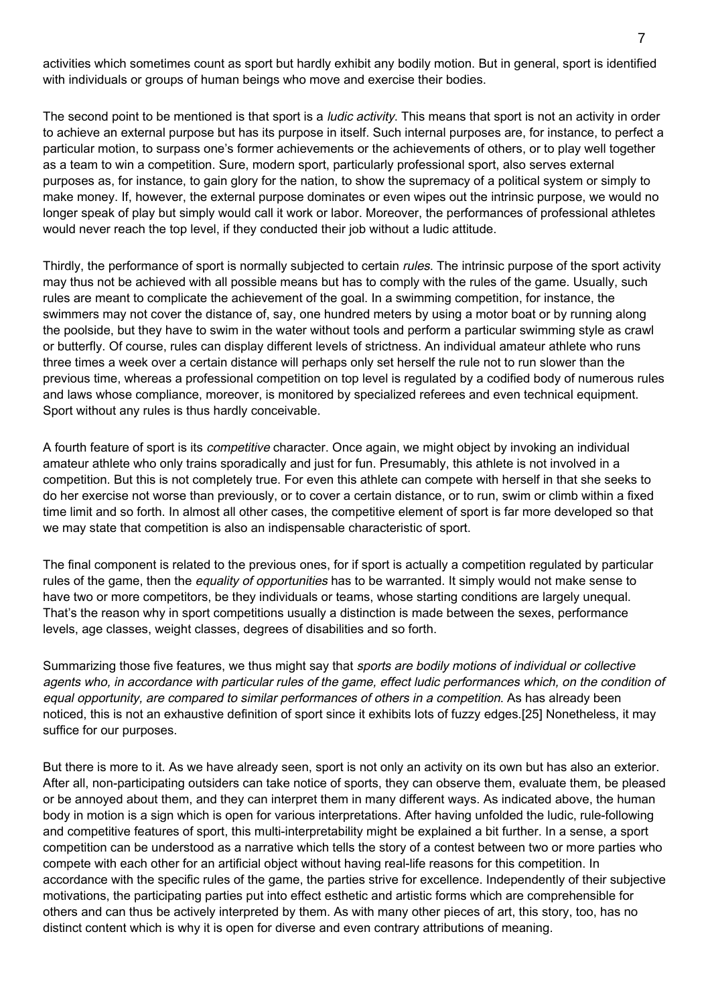activities which sometimes count as sport but hardly exhibit any bodily motion. But in general, sport is identified with individuals or groups of human beings who move and exercise their bodies.

The second point to be mentioned is that sport is a *ludic activity*. This means that sport is not an activity in order to achieve an external purpose but has its purpose in itself. Such internal purposes are, for instance, to perfect a particular motion, to surpass one's former achievements or the achievements of others, or to play well together as a team to win a competition. Sure, modern sport, particularly professional sport, also serves external purposes as, for instance, to gain glory for the nation, to show the supremacy of a political system or simply to make money. If, however, the external purpose dominates or even wipes out the intrinsic purpose, we would no longer speak of play but simply would call it work or labor. Moreover, the performances of professional athletes would never reach the top level, if they conducted their job without a ludic attitude.

Thirdly, the performance of sport is normally subjected to certain *rules*. The intrinsic purpose of the sport activity may thus not be achieved with all possible means but has to comply with the rules of the game. Usually, such rules are meant to complicate the achievement of the goal. In a swimming competition, for instance, the swimmers may not cover the distance of, say, one hundred meters by using a motor boat or by running along the poolside, but they have to swim in the water without tools and perform a particular swimming style as crawl or butterfly. Of course, rules can display different levels of strictness. An individual amateur athlete who runs three times a week over a certain distance will perhaps only set herself the rule not to run slower than the previous time, whereas a professional competition on top level is regulated by a codified body of numerous rules and laws whose compliance, moreover, is monitored by specialized referees and even technical equipment. Sport without any rules is thus hardly conceivable.

A fourth feature of sport is its competitive character. Once again, we might object by invoking an individual amateur athlete who only trains sporadically and just for fun. Presumably, this athlete is not involved in a competition. But this is not completely true. For even this athlete can compete with herself in that she seeks to do her exercise not worse than previously, or to cover a certain distance, or to run, swim or climb within a fixed time limit and so forth. In almost all other cases, the competitive element of sport is far more developed so that we may state that competition is also an indispensable characteristic of sport.

The final component is related to the previous ones, for if sport is actually a competition regulated by particular rules of the game, then the *equality of opportunities* has to be warranted. It simply would not make sense to have two or more competitors, be they individuals or teams, whose starting conditions are largely unequal. That's the reason why in sport competitions usually a distinction is made between the sexes, performance levels, age classes, weight classes, degrees of disabilities and so forth.

Summarizing those five features, we thus might say that sports are bodily motions of individual or collective agents who, in accordance with particular rules of the game, effect ludic performances which, on the condition of equal opportunity, are compared to similar performances of others in a competition. As has already been noticed, this is not an exhaustive definition of sport since it exhibits lots of fuzzy edges.[25] Nonetheless, it may suffice for our purposes.

But there is more to it. As we have already seen, sport is not only an activity on its own but has also an exterior. After all, non-participating outsiders can take notice of sports, they can observe them, evaluate them, be pleased or be annoyed about them, and they can interpret them in many different ways. As indicated above, the human body in motion is a sign which is open for various interpretations. After having unfolded the ludic, rule-following and competitive features of sport, this multi-interpretability might be explained a bit further. In a sense, a sport competition can be understood as a narrative which tells the story of a contest between two or more parties who compete with each other for an artificial object without having real-life reasons for this competition. In accordance with the specific rules of the game, the parties strive for excellence. Independently of their subjective motivations, the participating parties put into effect esthetic and artistic forms which are comprehensible for others and can thus be actively interpreted by them. As with many other pieces of art, this story, too, has no distinct content which is why it is open for diverse and even contrary attributions of meaning.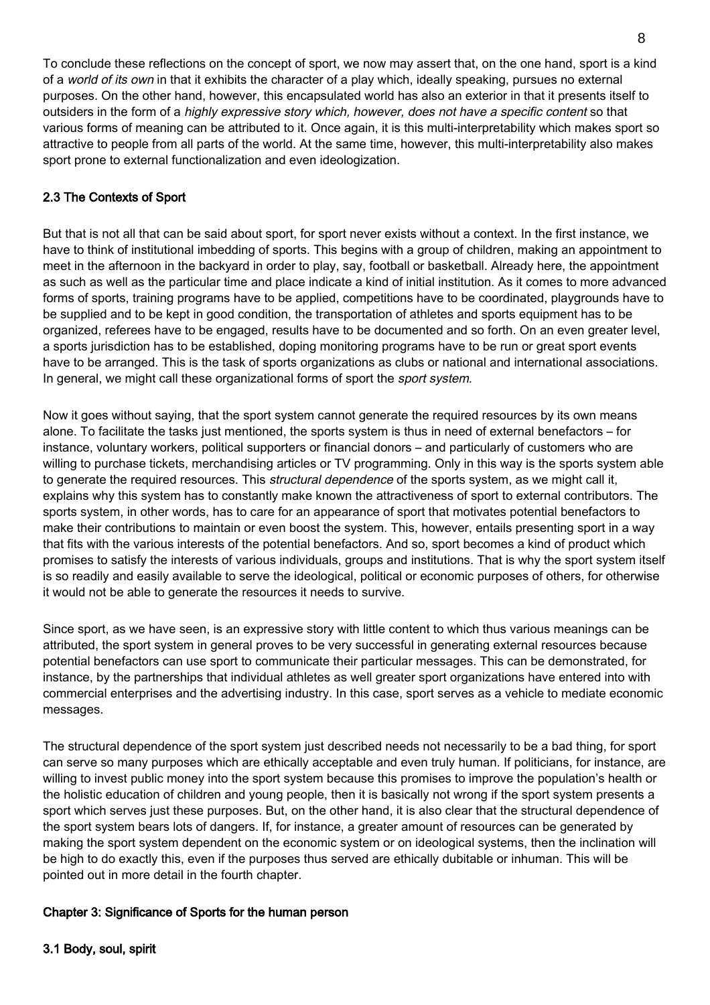To conclude these reflections on the concept of sport, we now may assert that, on the one hand, sport is a kind of a world of its own in that it exhibits the character of a play which, ideally speaking, pursues no external purposes. On the other hand, however, this encapsulated world has also an exterior in that it presents itself to outsiders in the form of a highly expressive story which, however, does not have a specific content so that various forms of meaning can be attributed to it. Once again, it is this multi-interpretability which makes sport so attractive to people from all parts of the world. At the same time, however, this multi-interpretability also makes sport prone to external functionalization and even ideologization.

# 2.3 The Contexts of Sport

But that is not all that can be said about sport, for sport never exists without a context. In the first instance, we have to think of institutional imbedding of sports. This begins with a group of children, making an appointment to meet in the afternoon in the backyard in order to play, say, football or basketball. Already here, the appointment as such as well as the particular time and place indicate a kind of initial institution. As it comes to more advanced forms of sports, training programs have to be applied, competitions have to be coordinated, playgrounds have to be supplied and to be kept in good condition, the transportation of athletes and sports equipment has to be organized, referees have to be engaged, results have to be documented and so forth. On an even greater level, a sports jurisdiction has to be established, doping monitoring programs have to be run or great sport events have to be arranged. This is the task of sports organizations as clubs or national and international associations. In general, we might call these organizational forms of sport the *sport system*.

Now it goes without saying, that the sport system cannot generate the required resources by its own means alone. To facilitate the tasks just mentioned, the sports system is thus in need of external benefactors – for instance, voluntary workers, political supporters or financial donors – and particularly of customers who are willing to purchase tickets, merchandising articles or TV programming. Only in this way is the sports system able to generate the required resources. This structural dependence of the sports system, as we might call it, explains why this system has to constantly make known the attractiveness of sport to external contributors. The sports system, in other words, has to care for an appearance of sport that motivates potential benefactors to make their contributions to maintain or even boost the system. This, however, entails presenting sport in a way that fits with the various interests of the potential benefactors. And so, sport becomes a kind of product which promises to satisfy the interests of various individuals, groups and institutions. That is why the sport system itself is so readily and easily available to serve the ideological, political or economic purposes of others, for otherwise it would not be able to generate the resources it needs to survive.

Since sport, as we have seen, is an expressive story with little content to which thus various meanings can be attributed, the sport system in general proves to be very successful in generating external resources because potential benefactors can use sport to communicate their particular messages. This can be demonstrated, for instance, by the partnerships that individual athletes as well greater sport organizations have entered into with commercial enterprises and the advertising industry. In this case, sport serves as a vehicle to mediate economic messages.

The structural dependence of the sport system just described needs not necessarily to be a bad thing, for sport can serve so many purposes which are ethically acceptable and even truly human. If politicians, for instance, are willing to invest public money into the sport system because this promises to improve the population's health or the holistic education of children and young people, then it is basically not wrong if the sport system presents a sport which serves just these purposes. But, on the other hand, it is also clear that the structural dependence of the sport system bears lots of dangers. If, for instance, a greater amount of resources can be generated by making the sport system dependent on the economic system or on ideological systems, then the inclination will be high to do exactly this, even if the purposes thus served are ethically dubitable or inhuman. This will be pointed out in more detail in the fourth chapter.

# Chapter 3: Significance of Sports for the human person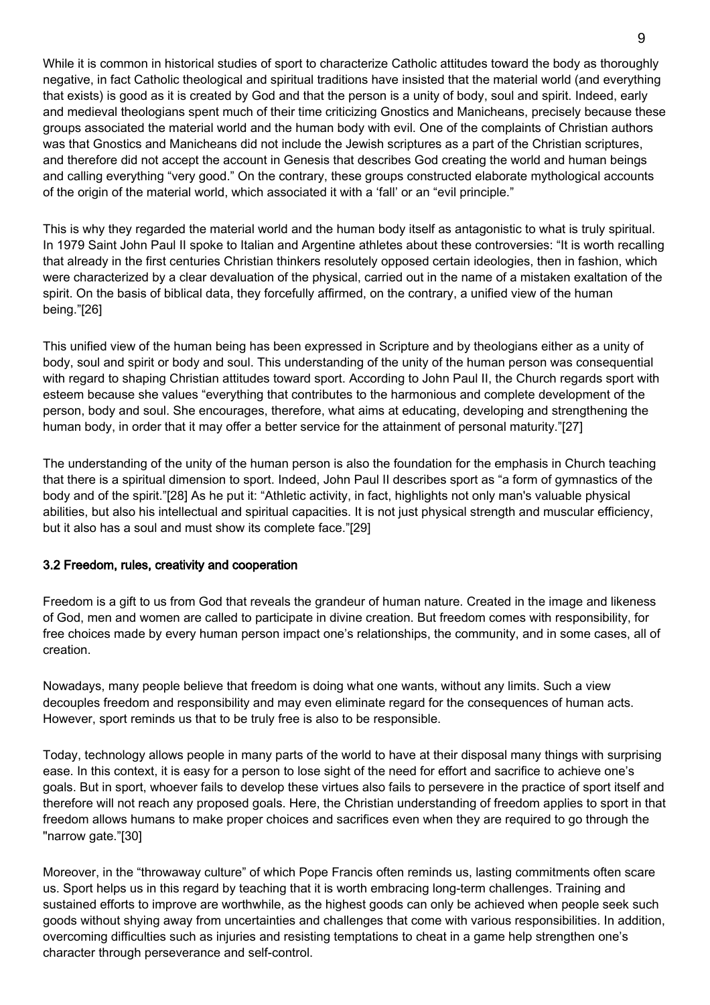While it is common in historical studies of sport to characterize Catholic attitudes toward the body as thoroughly negative, in fact Catholic theological and spiritual traditions have insisted that the material world (and everything that exists) is good as it is created by God and that the person is a unity of body, soul and spirit. Indeed, early and medieval theologians spent much of their time criticizing Gnostics and Manicheans, precisely because these groups associated the material world and the human body with evil. One of the complaints of Christian authors was that Gnostics and Manicheans did not include the Jewish scriptures as a part of the Christian scriptures, and therefore did not accept the account in Genesis that describes God creating the world and human beings and calling everything "very good." On the contrary, these groups constructed elaborate mythological accounts of the origin of the material world, which associated it with a 'fall' or an "evil principle."

This is why they regarded the material world and the human body itself as antagonistic to what is truly spiritual. In 1979 Saint John Paul II spoke to Italian and Argentine athletes about these controversies: "It is worth recalling that already in the first centuries Christian thinkers resolutely opposed certain ideologies, then in fashion, which were characterized by a clear devaluation of the physical, carried out in the name of a mistaken exaltation of the spirit. On the basis of biblical data, they forcefully affirmed, on the contrary, a unified view of the human being."[26]

This unified view of the human being has been expressed in Scripture and by theologians either as a unity of body, soul and spirit or body and soul. This understanding of the unity of the human person was consequential with regard to shaping Christian attitudes toward sport. According to John Paul II, the Church regards sport with esteem because she values "everything that contributes to the harmonious and complete development of the person, body and soul. She encourages, therefore, what aims at educating, developing and strengthening the human body, in order that it may offer a better service for the attainment of personal maturity."[27]

The understanding of the unity of the human person is also the foundation for the emphasis in Church teaching that there is a spiritual dimension to sport. Indeed, John Paul II describes sport as "a form of gymnastics of the body and of the spirit."[28] As he put it: "Athletic activity, in fact, highlights not only man's valuable physical abilities, but also his intellectual and spiritual capacities. It is not just physical strength and muscular efficiency, but it also has a soul and must show its complete face."[29]

# 3.2 Freedom, rules, creativity and cooperation

Freedom is a gift to us from God that reveals the grandeur of human nature. Created in the image and likeness of God, men and women are called to participate in divine creation. But freedom comes with responsibility, for free choices made by every human person impact one's relationships, the community, and in some cases, all of creation.

Nowadays, many people believe that freedom is doing what one wants, without any limits. Such a view decouples freedom and responsibility and may even eliminate regard for the consequences of human acts. However, sport reminds us that to be truly free is also to be responsible.

Today, technology allows people in many parts of the world to have at their disposal many things with surprising ease. In this context, it is easy for a person to lose sight of the need for effort and sacrifice to achieve one's goals. But in sport, whoever fails to develop these virtues also fails to persevere in the practice of sport itself and therefore will not reach any proposed goals. Here, the Christian understanding of freedom applies to sport in that freedom allows humans to make proper choices and sacrifices even when they are required to go through the "narrow gate."[30]

Moreover, in the "throwaway culture" of which Pope Francis often reminds us, lasting commitments often scare us. Sport helps us in this regard by teaching that it is worth embracing long-term challenges. Training and sustained efforts to improve are worthwhile, as the highest goods can only be achieved when people seek such goods without shying away from uncertainties and challenges that come with various responsibilities. In addition, overcoming difficulties such as injuries and resisting temptations to cheat in a game help strengthen one's character through perseverance and self-control.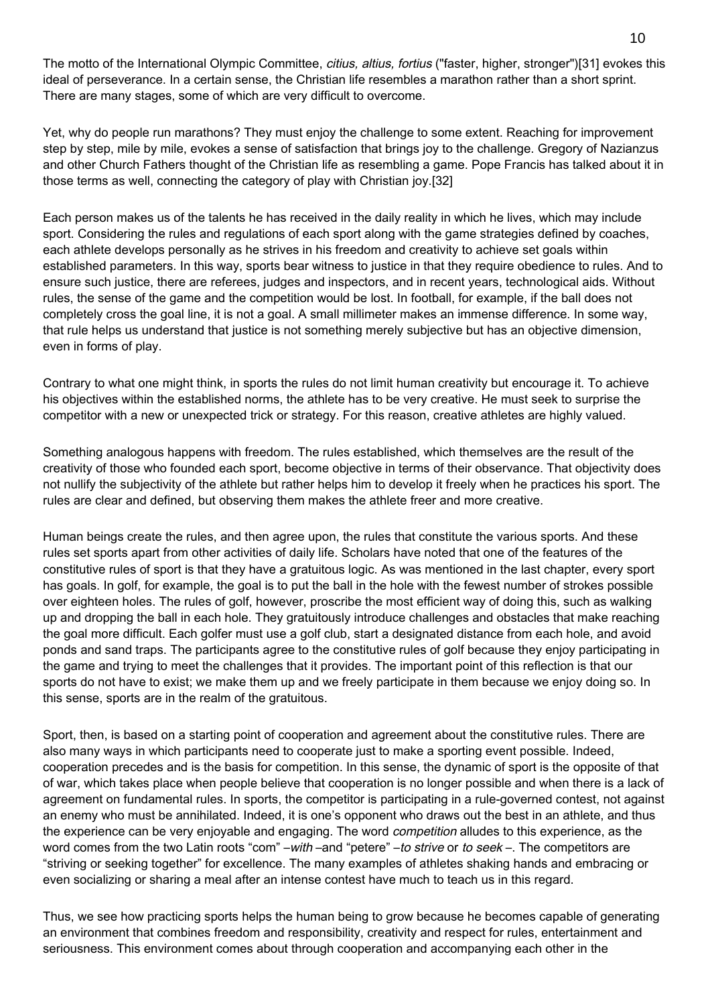The motto of the International Olympic Committee, *citius, altius, fortius* ("faster, higher, stronger")[31] evokes this ideal of perseverance. In a certain sense, the Christian life resembles a marathon rather than a short sprint. There are many stages, some of which are very difficult to overcome.

Yet, why do people run marathons? They must enjoy the challenge to some extent. Reaching for improvement step by step, mile by mile, evokes a sense of satisfaction that brings joy to the challenge. Gregory of Nazianzus and other Church Fathers thought of the Christian life as resembling a game. Pope Francis has talked about it in those terms as well, connecting the category of play with Christian joy.[32]

Each person makes us of the talents he has received in the daily reality in which he lives, which may include sport. Considering the rules and regulations of each sport along with the game strategies defined by coaches, each athlete develops personally as he strives in his freedom and creativity to achieve set goals within established parameters. In this way, sports bear witness to justice in that they require obedience to rules. And to ensure such justice, there are referees, judges and inspectors, and in recent years, technological aids. Without rules, the sense of the game and the competition would be lost. In football, for example, if the ball does not completely cross the goal line, it is not a goal. A small millimeter makes an immense difference. In some way, that rule helps us understand that justice is not something merely subjective but has an objective dimension, even in forms of play.

Contrary to what one might think, in sports the rules do not limit human creativity but encourage it. To achieve his objectives within the established norms, the athlete has to be very creative. He must seek to surprise the competitor with a new or unexpected trick or strategy. For this reason, creative athletes are highly valued.

Something analogous happens with freedom. The rules established, which themselves are the result of the creativity of those who founded each sport, become objective in terms of their observance. That objectivity does not nullify the subjectivity of the athlete but rather helps him to develop it freely when he practices his sport. The rules are clear and defined, but observing them makes the athlete freer and more creative.

Human beings create the rules, and then agree upon, the rules that constitute the various sports. And these rules set sports apart from other activities of daily life. Scholars have noted that one of the features of the constitutive rules of sport is that they have a gratuitous logic. As was mentioned in the last chapter, every sport has goals. In golf, for example, the goal is to put the ball in the hole with the fewest number of strokes possible over eighteen holes. The rules of golf, however, proscribe the most efficient way of doing this, such as walking up and dropping the ball in each hole. They gratuitously introduce challenges and obstacles that make reaching the goal more difficult. Each golfer must use a golf club, start a designated distance from each hole, and avoid ponds and sand traps. The participants agree to the constitutive rules of golf because they enjoy participating in the game and trying to meet the challenges that it provides. The important point of this reflection is that our sports do not have to exist; we make them up and we freely participate in them because we enjoy doing so. In this sense, sports are in the realm of the gratuitous.

Sport, then, is based on a starting point of cooperation and agreement about the constitutive rules. There are also many ways in which participants need to cooperate just to make a sporting event possible. Indeed, cooperation precedes and is the basis for competition. In this sense, the dynamic of sport is the opposite of that of war, which takes place when people believe that cooperation is no longer possible and when there is a lack of agreement on fundamental rules. In sports, the competitor is participating in a rule-governed contest, not against an enemy who must be annihilated. Indeed, it is one's opponent who draws out the best in an athlete, and thus the experience can be very enjoyable and engaging. The word *competition* alludes to this experience, as the word comes from the two Latin roots "com" –with –and "petere" –to strive or to seek –. The competitors are "striving or seeking together" for excellence. The many examples of athletes shaking hands and embracing or even socializing or sharing a meal after an intense contest have much to teach us in this regard.

Thus, we see how practicing sports helps the human being to grow because he becomes capable of generating an environment that combines freedom and responsibility, creativity and respect for rules, entertainment and seriousness. This environment comes about through cooperation and accompanying each other in the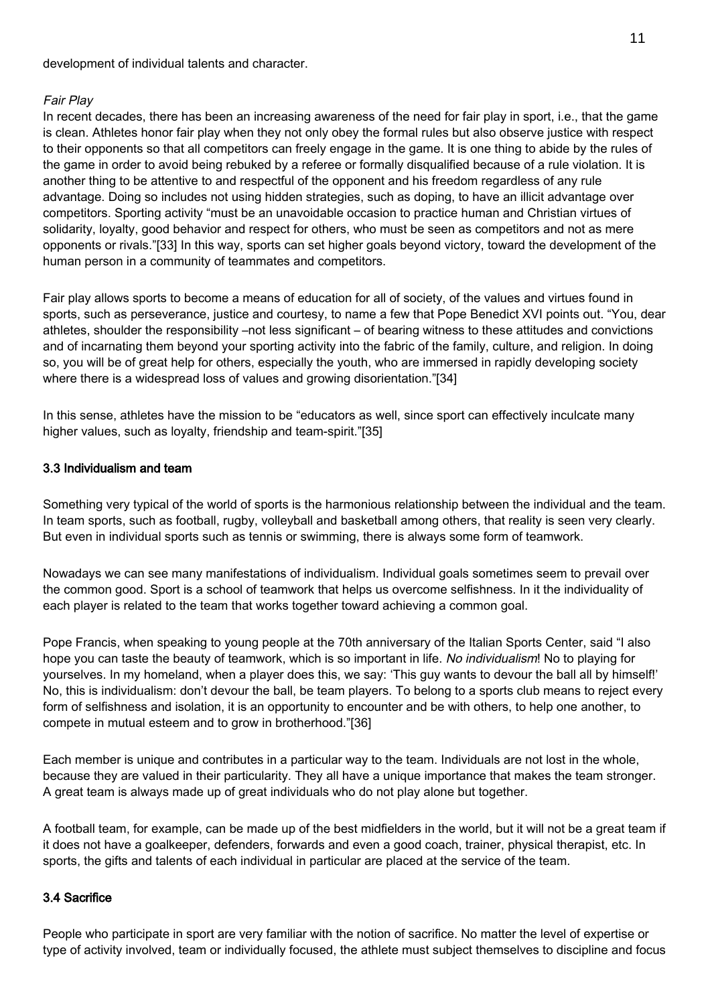development of individual talents and character.

# Fair Play

In recent decades, there has been an increasing awareness of the need for fair play in sport, i.e., that the game is clean. Athletes honor fair play when they not only obey the formal rules but also observe justice with respect to their opponents so that all competitors can freely engage in the game. It is one thing to abide by the rules of the game in order to avoid being rebuked by a referee or formally disqualified because of a rule violation. It is another thing to be attentive to and respectful of the opponent and his freedom regardless of any rule advantage. Doing so includes not using hidden strategies, such as doping, to have an illicit advantage over competitors. Sporting activity "must be an unavoidable occasion to practice human and Christian virtues of solidarity, loyalty, good behavior and respect for others, who must be seen as competitors and not as mere opponents or rivals."[33] In this way, sports can set higher goals beyond victory, toward the development of the human person in a community of teammates and competitors.

Fair play allows sports to become a means of education for all of society, of the values and virtues found in sports, such as perseverance, justice and courtesy, to name a few that Pope Benedict XVI points out. "You, dear athletes, shoulder the responsibility –not less significant – of bearing witness to these attitudes and convictions and of incarnating them beyond your sporting activity into the fabric of the family, culture, and religion. In doing so, you will be of great help for others, especially the youth, who are immersed in rapidly developing society where there is a widespread loss of values and growing disorientation."[34]

In this sense, athletes have the mission to be "educators as well, since sport can effectively inculcate many higher values, such as loyalty, friendship and team-spirit."[35]

# 3.3 Individualism and team

Something very typical of the world of sports is the harmonious relationship between the individual and the team. In team sports, such as football, rugby, volleyball and basketball among others, that reality is seen very clearly. But even in individual sports such as tennis or swimming, there is always some form of teamwork.

Nowadays we can see many manifestations of individualism. Individual goals sometimes seem to prevail over the common good. Sport is a school of teamwork that helps us overcome selfishness. In it the individuality of each player is related to the team that works together toward achieving a common goal.

Pope Francis, when speaking to young people at the 70th anniversary of the Italian Sports Center, said "I also hope you can taste the beauty of teamwork, which is so important in life. No individualism! No to playing for yourselves. In my homeland, when a player does this, we say: 'This guy wants to devour the ball all by himself!' No, this is individualism: don't devour the ball, be team players. To belong to a sports club means to reject every form of selfishness and isolation, it is an opportunity to encounter and be with others, to help one another, to compete in mutual esteem and to grow in brotherhood."[36]

Each member is unique and contributes in a particular way to the team. Individuals are not lost in the whole, because they are valued in their particularity. They all have a unique importance that makes the team stronger. A great team is always made up of great individuals who do not play alone but together.

A football team, for example, can be made up of the best midfielders in the world, but it will not be a great team if it does not have a goalkeeper, defenders, forwards and even a good coach, trainer, physical therapist, etc. In sports, the gifts and talents of each individual in particular are placed at the service of the team.

# 3.4 Sacrifice

People who participate in sport are very familiar with the notion of sacrifice. No matter the level of expertise or type of activity involved, team or individually focused, the athlete must subject themselves to discipline and focus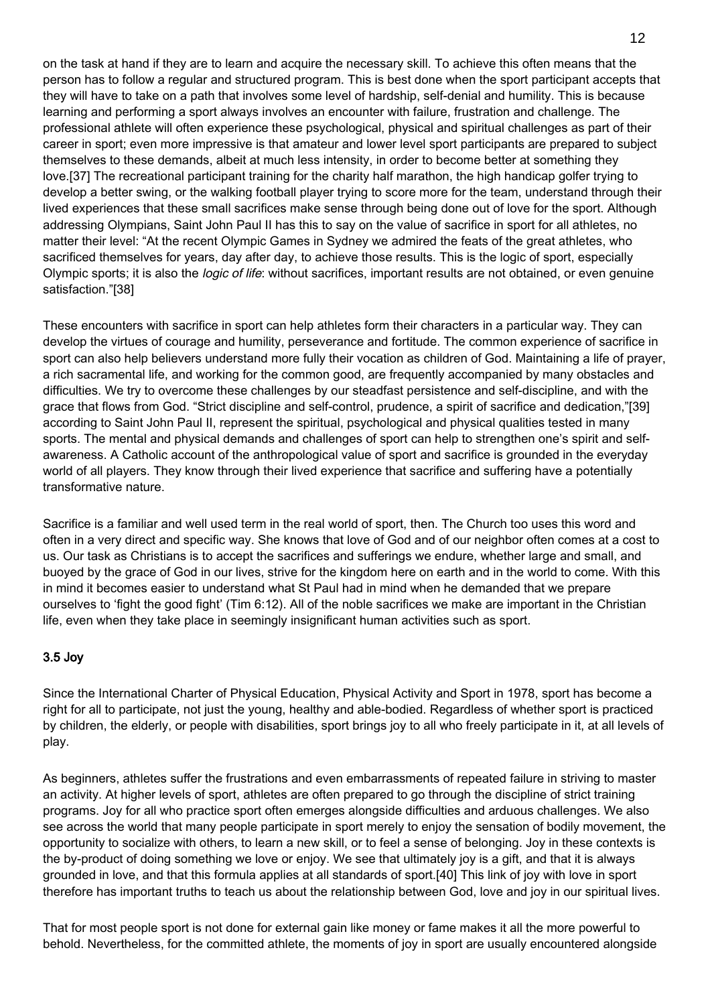on the task at hand if they are to learn and acquire the necessary skill. To achieve this often means that the person has to follow a regular and structured program. This is best done when the sport participant accepts that they will have to take on a path that involves some level of hardship, self-denial and humility. This is because learning and performing a sport always involves an encounter with failure, frustration and challenge. The professional athlete will often experience these psychological, physical and spiritual challenges as part of their career in sport; even more impressive is that amateur and lower level sport participants are prepared to subject themselves to these demands, albeit at much less intensity, in order to become better at something they love.[37] The recreational participant training for the charity half marathon, the high handicap golfer trying to develop a better swing, or the walking football player trying to score more for the team, understand through their lived experiences that these small sacrifices make sense through being done out of love for the sport. Although addressing Olympians, Saint John Paul II has this to say on the value of sacrifice in sport for all athletes, no matter their level: "At the recent Olympic Games in Sydney we admired the feats of the great athletes, who sacrificed themselves for years, day after day, to achieve those results. This is the logic of sport, especially Olympic sports; it is also the *logic of life*: without sacrifices, important results are not obtained, or even genuine satisfaction."[38]

These encounters with sacrifice in sport can help athletes form their characters in a particular way. They can develop the virtues of courage and humility, perseverance and fortitude. The common experience of sacrifice in sport can also help believers understand more fully their vocation as children of God. Maintaining a life of prayer, a rich sacramental life, and working for the common good, are frequently accompanied by many obstacles and difficulties. We try to overcome these challenges by our steadfast persistence and self-discipline, and with the grace that flows from God. "Strict discipline and self-control, prudence, a spirit of sacrifice and dedication,"[39] according to Saint John Paul II, represent the spiritual, psychological and physical qualities tested in many sports. The mental and physical demands and challenges of sport can help to strengthen one's spirit and selfawareness. A Catholic account of the anthropological value of sport and sacrifice is grounded in the everyday world of all players. They know through their lived experience that sacrifice and suffering have a potentially transformative nature.

Sacrifice is a familiar and well used term in the real world of sport, then. The Church too uses this word and often in a very direct and specific way. She knows that love of God and of our neighbor often comes at a cost to us. Our task as Christians is to accept the sacrifices and sufferings we endure, whether large and small, and buoyed by the grace of God in our lives, strive for the kingdom here on earth and in the world to come. With this in mind it becomes easier to understand what St Paul had in mind when he demanded that we prepare ourselves to 'fight the good fight' (Tim 6:12). All of the noble sacrifices we make are important in the Christian life, even when they take place in seemingly insignificant human activities such as sport.

# 3.5 Joy

Since the International Charter of Physical Education, Physical Activity and Sport in 1978, sport has become a right for all to participate, not just the young, healthy and able-bodied. Regardless of whether sport is practiced by children, the elderly, or people with disabilities, sport brings joy to all who freely participate in it, at all levels of play.

As beginners, athletes suffer the frustrations and even embarrassments of repeated failure in striving to master an activity. At higher levels of sport, athletes are often prepared to go through the discipline of strict training programs. Joy for all who practice sport often emerges alongside difficulties and arduous challenges. We also see across the world that many people participate in sport merely to enjoy the sensation of bodily movement, the opportunity to socialize with others, to learn a new skill, or to feel a sense of belonging. Joy in these contexts is the by-product of doing something we love or enjoy. We see that ultimately joy is a gift, and that it is always grounded in love, and that this formula applies at all standards of sport.[40] This link of joy with love in sport therefore has important truths to teach us about the relationship between God, love and joy in our spiritual lives.

That for most people sport is not done for external gain like money or fame makes it all the more powerful to behold. Nevertheless, for the committed athlete, the moments of joy in sport are usually encountered alongside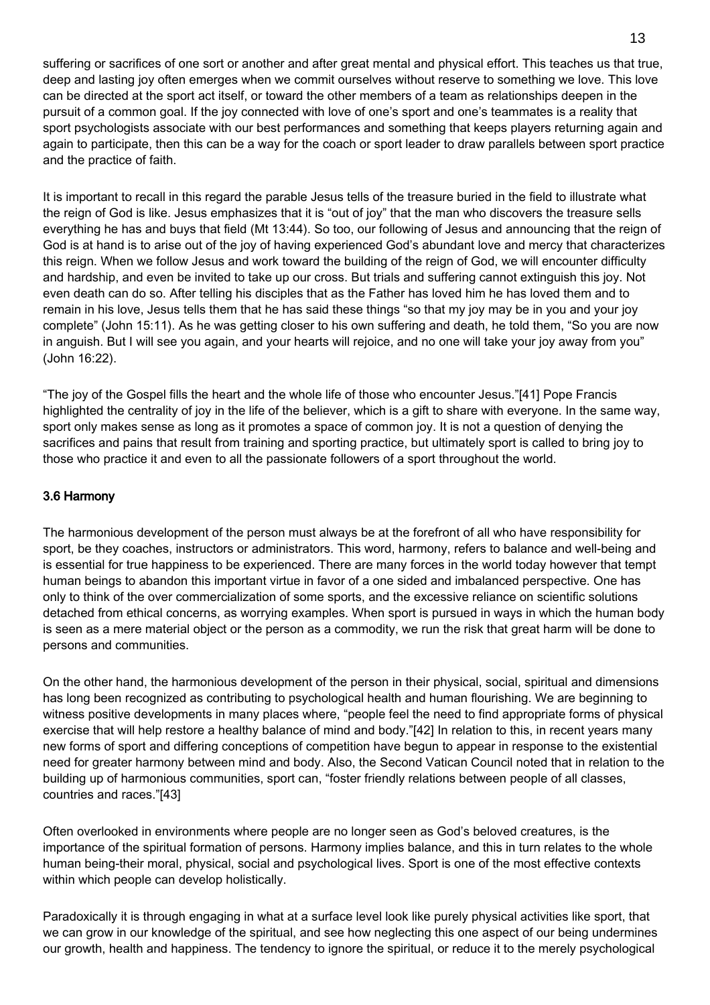suffering or sacrifices of one sort or another and after great mental and physical effort. This teaches us that true, deep and lasting joy often emerges when we commit ourselves without reserve to something we love. This love can be directed at the sport act itself, or toward the other members of a team as relationships deepen in the pursuit of a common goal. If the joy connected with love of one's sport and one's teammates is a reality that sport psychologists associate with our best performances and something that keeps players returning again and again to participate, then this can be a way for the coach or sport leader to draw parallels between sport practice and the practice of faith.

It is important to recall in this regard the parable Jesus tells of the treasure buried in the field to illustrate what the reign of God is like. Jesus emphasizes that it is "out of joy" that the man who discovers the treasure sells everything he has and buys that field (Mt 13:44). So too, our following of Jesus and announcing that the reign of God is at hand is to arise out of the joy of having experienced God's abundant love and mercy that characterizes this reign. When we follow Jesus and work toward the building of the reign of God, we will encounter difficulty and hardship, and even be invited to take up our cross. But trials and suffering cannot extinguish this joy. Not even death can do so. After telling his disciples that as the Father has loved him he has loved them and to remain in his love, Jesus tells them that he has said these things "so that my joy may be in you and your joy complete" (John 15:11). As he was getting closer to his own suffering and death, he told them, "So you are now in anguish. But I will see you again, and your hearts will rejoice, and no one will take your joy away from you" (John 16:22).

"The joy of the Gospel fills the heart and the whole life of those who encounter Jesus."[41] Pope Francis highlighted the centrality of joy in the life of the believer, which is a gift to share with everyone. In the same way, sport only makes sense as long as it promotes a space of common joy. It is not a question of denying the sacrifices and pains that result from training and sporting practice, but ultimately sport is called to bring joy to those who practice it and even to all the passionate followers of a sport throughout the world.

# 3.6 Harmony

The harmonious development of the person must always be at the forefront of all who have responsibility for sport, be they coaches, instructors or administrators. This word, harmony, refers to balance and well-being and is essential for true happiness to be experienced. There are many forces in the world today however that tempt human beings to abandon this important virtue in favor of a one sided and imbalanced perspective. One has only to think of the over commercialization of some sports, and the excessive reliance on scientific solutions detached from ethical concerns, as worrying examples. When sport is pursued in ways in which the human body is seen as a mere material object or the person as a commodity, we run the risk that great harm will be done to persons and communities.

On the other hand, the harmonious development of the person in their physical, social, spiritual and dimensions has long been recognized as contributing to psychological health and human flourishing. We are beginning to witness positive developments in many places where, "people feel the need to find appropriate forms of physical exercise that will help restore a healthy balance of mind and body."[42] In relation to this, in recent years many new forms of sport and differing conceptions of competition have begun to appear in response to the existential need for greater harmony between mind and body. Also, the Second Vatican Council noted that in relation to the building up of harmonious communities, sport can, "foster friendly relations between people of all classes, countries and races."[43]

Often overlooked in environments where people are no longer seen as God's beloved creatures, is the importance of the spiritual formation of persons. Harmony implies balance, and this in turn relates to the whole human being-their moral, physical, social and psychological lives. Sport is one of the most effective contexts within which people can develop holistically.

Paradoxically it is through engaging in what at a surface level look like purely physical activities like sport, that we can grow in our knowledge of the spiritual, and see how neglecting this one aspect of our being undermines our growth, health and happiness. The tendency to ignore the spiritual, or reduce it to the merely psychological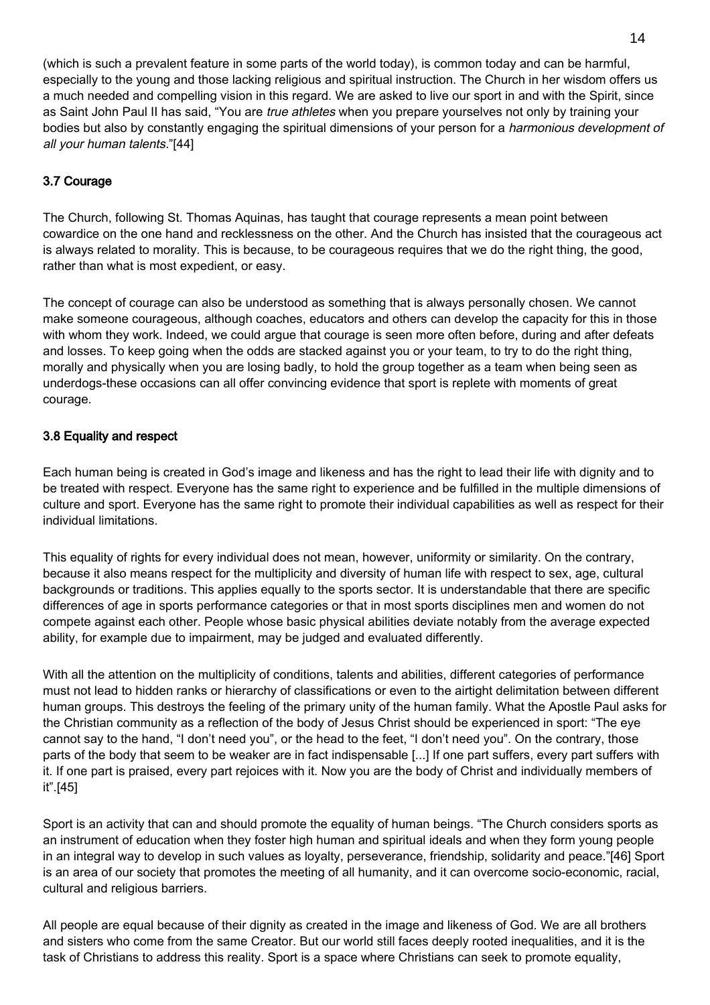(which is such a prevalent feature in some parts of the world today), is common today and can be harmful, especially to the young and those lacking religious and spiritual instruction. The Church in her wisdom offers us a much needed and compelling vision in this regard. We are asked to live our sport in and with the Spirit, since as Saint John Paul II has said, "You are *true athletes* when you prepare yourselves not only by training your bodies but also by constantly engaging the spiritual dimensions of your person for a *harmonious development of* all your human talents."[44]

# 3.7 Courage

The Church, following St. Thomas Aquinas, has taught that courage represents a mean point between cowardice on the one hand and recklessness on the other. And the Church has insisted that the courageous act is always related to morality. This is because, to be courageous requires that we do the right thing, the good, rather than what is most expedient, or easy.

The concept of courage can also be understood as something that is always personally chosen. We cannot make someone courageous, although coaches, educators and others can develop the capacity for this in those with whom they work. Indeed, we could argue that courage is seen more often before, during and after defeats and losses. To keep going when the odds are stacked against you or your team, to try to do the right thing, morally and physically when you are losing badly, to hold the group together as a team when being seen as underdogs-these occasions can all offer convincing evidence that sport is replete with moments of great courage.

# 3.8 Equality and respect

Each human being is created in God's image and likeness and has the right to lead their life with dignity and to be treated with respect. Everyone has the same right to experience and be fulfilled in the multiple dimensions of culture and sport. Everyone has the same right to promote their individual capabilities as well as respect for their individual limitations.

This equality of rights for every individual does not mean, however, uniformity or similarity. On the contrary, because it also means respect for the multiplicity and diversity of human life with respect to sex, age, cultural backgrounds or traditions. This applies equally to the sports sector. It is understandable that there are specific differences of age in sports performance categories or that in most sports disciplines men and women do not compete against each other. People whose basic physical abilities deviate notably from the average expected ability, for example due to impairment, may be judged and evaluated differently.

With all the attention on the multiplicity of conditions, talents and abilities, different categories of performance must not lead to hidden ranks or hierarchy of classifications or even to the airtight delimitation between different human groups. This destroys the feeling of the primary unity of the human family. What the Apostle Paul asks for the Christian community as a reflection of the body of Jesus Christ should be experienced in sport: "The eye cannot say to the hand, "I don't need you", or the head to the feet, "I don't need you". On the contrary, those parts of the body that seem to be weaker are in fact indispensable [...] If one part suffers, every part suffers with it. If one part is praised, every part rejoices with it. Now you are the body of Christ and individually members of it".[45]

Sport is an activity that can and should promote the equality of human beings. "The Church considers sports as an instrument of education when they foster high human and spiritual ideals and when they form young people in an integral way to develop in such values as loyalty, perseverance, friendship, solidarity and peace."[46] Sport is an area of our society that promotes the meeting of all humanity, and it can overcome socio-economic, racial, cultural and religious barriers.

All people are equal because of their dignity as created in the image and likeness of God. We are all brothers and sisters who come from the same Creator. But our world still faces deeply rooted inequalities, and it is the task of Christians to address this reality. Sport is a space where Christians can seek to promote equality,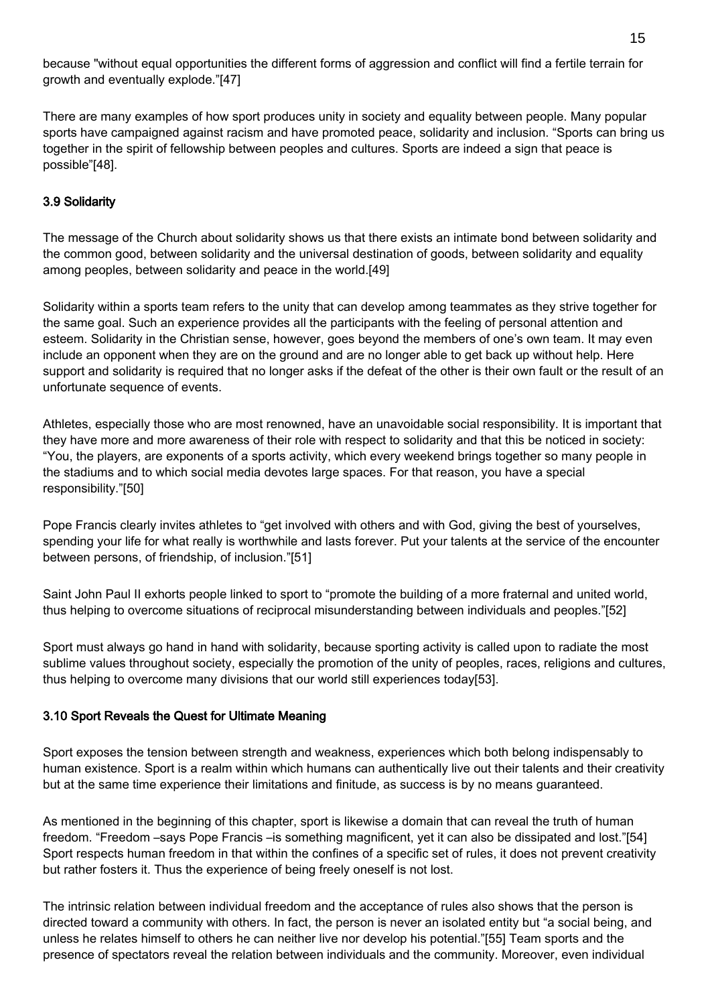because "without equal opportunities the different forms of aggression and conflict will find a fertile terrain for growth and eventually explode."[47]

There are many examples of how sport produces unity in society and equality between people. Many popular sports have campaigned against racism and have promoted peace, solidarity and inclusion. "Sports can bring us together in the spirit of fellowship between peoples and cultures. Sports are indeed a sign that peace is possible"[48].

# 3.9 Solidarity

The message of the Church about solidarity shows us that there exists an intimate bond between solidarity and the common good, between solidarity and the universal destination of goods, between solidarity and equality among peoples, between solidarity and peace in the world.[49]

Solidarity within a sports team refers to the unity that can develop among teammates as they strive together for the same goal. Such an experience provides all the participants with the feeling of personal attention and esteem. Solidarity in the Christian sense, however, goes beyond the members of one's own team. It may even include an opponent when they are on the ground and are no longer able to get back up without help. Here support and solidarity is required that no longer asks if the defeat of the other is their own fault or the result of an unfortunate sequence of events.

Athletes, especially those who are most renowned, have an unavoidable social responsibility. It is important that they have more and more awareness of their role with respect to solidarity and that this be noticed in society: "You, the players, are exponents of a sports activity, which every weekend brings together so many people in the stadiums and to which social media devotes large spaces. For that reason, you have a special responsibility."[50]

Pope Francis clearly invites athletes to "get involved with others and with God, giving the best of yourselves, spending your life for what really is worthwhile and lasts forever. Put your talents at the service of the encounter between persons, of friendship, of inclusion."[51]

Saint John Paul II exhorts people linked to sport to "promote the building of a more fraternal and united world, thus helping to overcome situations of reciprocal misunderstanding between individuals and peoples."[52]

Sport must always go hand in hand with solidarity, because sporting activity is called upon to radiate the most sublime values throughout society, especially the promotion of the unity of peoples, races, religions and cultures, thus helping to overcome many divisions that our world still experiences today[53].

# 3.10 Sport Reveals the Quest for Ultimate Meaning

Sport exposes the tension between strength and weakness, experiences which both belong indispensably to human existence. Sport is a realm within which humans can authentically live out their talents and their creativity but at the same time experience their limitations and finitude, as success is by no means guaranteed.

As mentioned in the beginning of this chapter, sport is likewise a domain that can reveal the truth of human freedom. "Freedom –says Pope Francis –is something magnificent, yet it can also be dissipated and lost."[54] Sport respects human freedom in that within the confines of a specific set of rules, it does not prevent creativity but rather fosters it. Thus the experience of being freely oneself is not lost.

The intrinsic relation between individual freedom and the acceptance of rules also shows that the person is directed toward a community with others. In fact, the person is never an isolated entity but "a social being, and unless he relates himself to others he can neither live nor develop his potential."[55] Team sports and the presence of spectators reveal the relation between individuals and the community. Moreover, even individual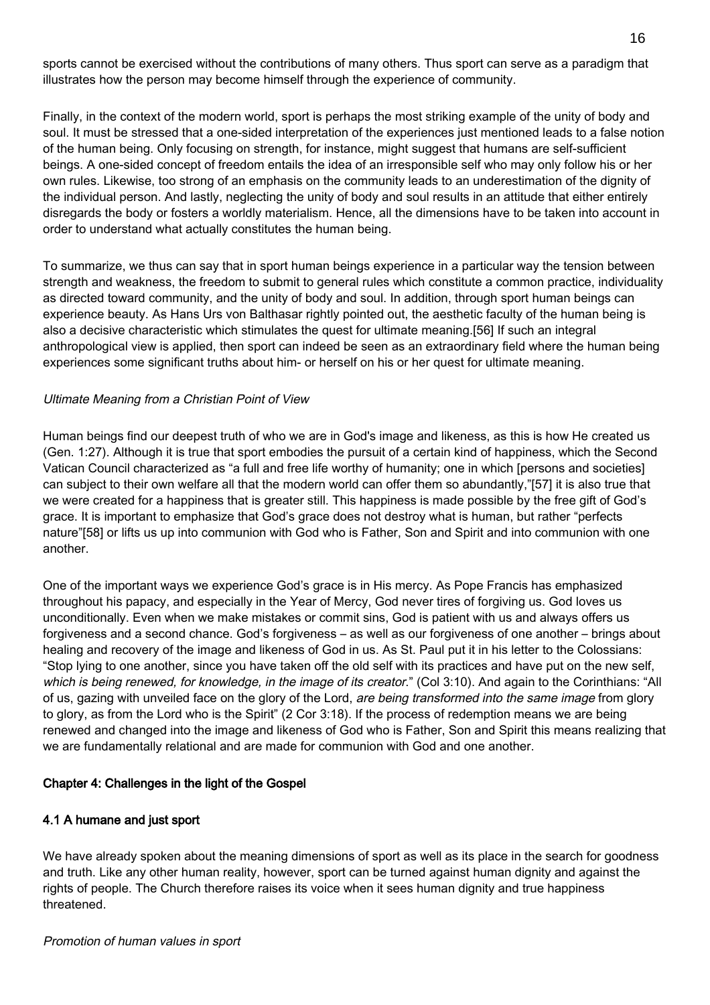sports cannot be exercised without the contributions of many others. Thus sport can serve as a paradigm that illustrates how the person may become himself through the experience of community.

Finally, in the context of the modern world, sport is perhaps the most striking example of the unity of body and soul. It must be stressed that a one-sided interpretation of the experiences just mentioned leads to a false notion of the human being. Only focusing on strength, for instance, might suggest that humans are self-sufficient beings. A one-sided concept of freedom entails the idea of an irresponsible self who may only follow his or her own rules. Likewise, too strong of an emphasis on the community leads to an underestimation of the dignity of the individual person. And lastly, neglecting the unity of body and soul results in an attitude that either entirely disregards the body or fosters a worldly materialism. Hence, all the dimensions have to be taken into account in order to understand what actually constitutes the human being.

To summarize, we thus can say that in sport human beings experience in a particular way the tension between strength and weakness, the freedom to submit to general rules which constitute a common practice, individuality as directed toward community, and the unity of body and soul. In addition, through sport human beings can experience beauty. As Hans Urs von Balthasar rightly pointed out, the aesthetic faculty of the human being is also a decisive characteristic which stimulates the quest for ultimate meaning.[56] If such an integral anthropological view is applied, then sport can indeed be seen as an extraordinary field where the human being experiences some significant truths about him- or herself on his or her quest for ultimate meaning.

# Ultimate Meaning from a Christian Point of View

Human beings find our deepest truth of who we are in God's image and likeness, as this is how He created us (Gen. 1:27). Although it is true that sport embodies the pursuit of a certain kind of happiness, which the Second Vatican Council characterized as "a full and free life worthy of humanity; one in which [persons and societies] can subject to their own welfare all that the modern world can offer them so abundantly,"[57] it is also true that we were created for a happiness that is greater still. This happiness is made possible by the free gift of God's grace. It is important to emphasize that God's grace does not destroy what is human, but rather "perfects nature"[58] or lifts us up into communion with God who is Father, Son and Spirit and into communion with one another.

One of the important ways we experience God's grace is in His mercy. As Pope Francis has emphasized throughout his papacy, and especially in the Year of Mercy, God never tires of forgiving us. God loves us unconditionally. Even when we make mistakes or commit sins, God is patient with us and always offers us forgiveness and a second chance. God's forgiveness – as well as our forgiveness of one another – brings about healing and recovery of the image and likeness of God in us. As St. Paul put it in his letter to the Colossians: "Stop lying to one another, since you have taken off the old self with its practices and have put on the new self, which is being renewed, for knowledge, in the image of its creator." (Col 3:10). And again to the Corinthians: "All of us, gazing with unveiled face on the glory of the Lord, are being transformed into the same image from glory to glory, as from the Lord who is the Spirit" (2 Cor 3:18). If the process of redemption means we are being renewed and changed into the image and likeness of God who is Father, Son and Spirit this means realizing that we are fundamentally relational and are made for communion with God and one another.

#### Chapter 4: Challenges in the light of the Gospel

# 4.1 A humane and just sport

We have already spoken about the meaning dimensions of sport as well as its place in the search for goodness and truth. Like any other human reality, however, sport can be turned against human dignity and against the rights of people. The Church therefore raises its voice when it sees human dignity and true happiness threatened.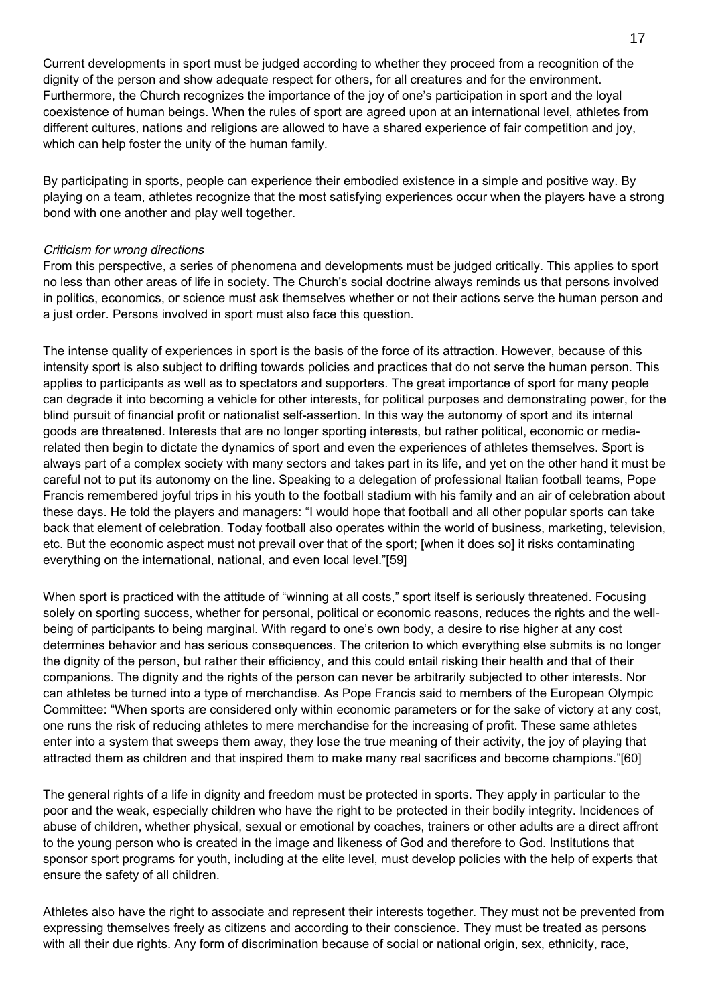Current developments in sport must be judged according to whether they proceed from a recognition of the dignity of the person and show adequate respect for others, for all creatures and for the environment. Furthermore, the Church recognizes the importance of the joy of one's participation in sport and the loyal coexistence of human beings. When the rules of sport are agreed upon at an international level, athletes from different cultures, nations and religions are allowed to have a shared experience of fair competition and joy, which can help foster the unity of the human family.

By participating in sports, people can experience their embodied existence in a simple and positive way. By playing on a team, athletes recognize that the most satisfying experiences occur when the players have a strong bond with one another and play well together.

### Criticism for wrong directions

From this perspective, a series of phenomena and developments must be judged critically. This applies to sport no less than other areas of life in society. The Church's social doctrine always reminds us that persons involved in politics, economics, or science must ask themselves whether or not their actions serve the human person and a just order. Persons involved in sport must also face this question.

The intense quality of experiences in sport is the basis of the force of its attraction. However, because of this intensity sport is also subject to drifting towards policies and practices that do not serve the human person. This applies to participants as well as to spectators and supporters. The great importance of sport for many people can degrade it into becoming a vehicle for other interests, for political purposes and demonstrating power, for the blind pursuit of financial profit or nationalist self-assertion. In this way the autonomy of sport and its internal goods are threatened. Interests that are no longer sporting interests, but rather political, economic or mediarelated then begin to dictate the dynamics of sport and even the experiences of athletes themselves. Sport is always part of a complex society with many sectors and takes part in its life, and yet on the other hand it must be careful not to put its autonomy on the line. Speaking to a delegation of professional Italian football teams, Pope Francis remembered joyful trips in his youth to the football stadium with his family and an air of celebration about these days. He told the players and managers: "I would hope that football and all other popular sports can take back that element of celebration. Today football also operates within the world of business, marketing, television, etc. But the economic aspect must not prevail over that of the sport; [when it does so] it risks contaminating everything on the international, national, and even local level."[59]

When sport is practiced with the attitude of "winning at all costs," sport itself is seriously threatened. Focusing solely on sporting success, whether for personal, political or economic reasons, reduces the rights and the wellbeing of participants to being marginal. With regard to one's own body, a desire to rise higher at any cost determines behavior and has serious consequences. The criterion to which everything else submits is no longer the dignity of the person, but rather their efficiency, and this could entail risking their health and that of their companions. The dignity and the rights of the person can never be arbitrarily subjected to other interests. Nor can athletes be turned into a type of merchandise. As Pope Francis said to members of the European Olympic Committee: "When sports are considered only within economic parameters or for the sake of victory at any cost, one runs the risk of reducing athletes to mere merchandise for the increasing of profit. These same athletes enter into a system that sweeps them away, they lose the true meaning of their activity, the joy of playing that attracted them as children and that inspired them to make many real sacrifices and become champions."[60]

The general rights of a life in dignity and freedom must be protected in sports. They apply in particular to the poor and the weak, especially children who have the right to be protected in their bodily integrity. Incidences of abuse of children, whether physical, sexual or emotional by coaches, trainers or other adults are a direct affront to the young person who is created in the image and likeness of God and therefore to God. Institutions that sponsor sport programs for youth, including at the elite level, must develop policies with the help of experts that ensure the safety of all children.

Athletes also have the right to associate and represent their interests together. They must not be prevented from expressing themselves freely as citizens and according to their conscience. They must be treated as persons with all their due rights. Any form of discrimination because of social or national origin, sex, ethnicity, race,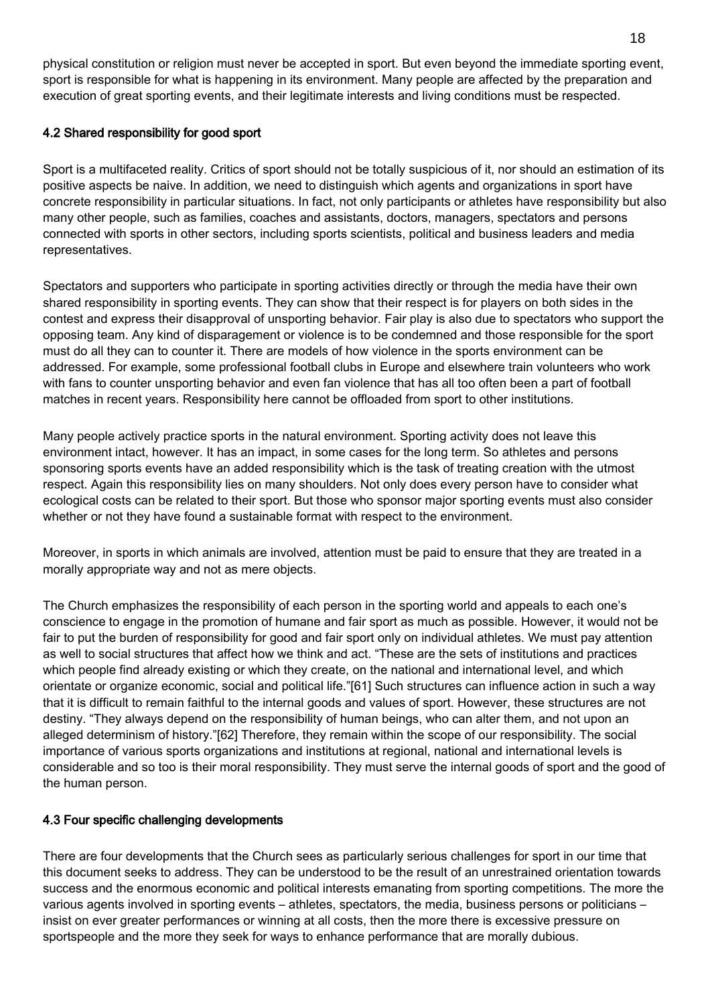physical constitution or religion must never be accepted in sport. But even beyond the immediate sporting event, sport is responsible for what is happening in its environment. Many people are affected by the preparation and execution of great sporting events, and their legitimate interests and living conditions must be respected.

# 4.2 Shared responsibility for good sport

Sport is a multifaceted reality. Critics of sport should not be totally suspicious of it, nor should an estimation of its positive aspects be naive. In addition, we need to distinguish which agents and organizations in sport have concrete responsibility in particular situations. In fact, not only participants or athletes have responsibility but also many other people, such as families, coaches and assistants, doctors, managers, spectators and persons connected with sports in other sectors, including sports scientists, political and business leaders and media representatives.

Spectators and supporters who participate in sporting activities directly or through the media have their own shared responsibility in sporting events. They can show that their respect is for players on both sides in the contest and express their disapproval of unsporting behavior. Fair play is also due to spectators who support the opposing team. Any kind of disparagement or violence is to be condemned and those responsible for the sport must do all they can to counter it. There are models of how violence in the sports environment can be addressed. For example, some professional football clubs in Europe and elsewhere train volunteers who work with fans to counter unsporting behavior and even fan violence that has all too often been a part of football matches in recent years. Responsibility here cannot be offloaded from sport to other institutions.

Many people actively practice sports in the natural environment. Sporting activity does not leave this environment intact, however. It has an impact, in some cases for the long term. So athletes and persons sponsoring sports events have an added responsibility which is the task of treating creation with the utmost respect. Again this responsibility lies on many shoulders. Not only does every person have to consider what ecological costs can be related to their sport. But those who sponsor major sporting events must also consider whether or not they have found a sustainable format with respect to the environment.

Moreover, in sports in which animals are involved, attention must be paid to ensure that they are treated in a morally appropriate way and not as mere objects.

The Church emphasizes the responsibility of each person in the sporting world and appeals to each one's conscience to engage in the promotion of humane and fair sport as much as possible. However, it would not be fair to put the burden of responsibility for good and fair sport only on individual athletes. We must pay attention as well to social structures that affect how we think and act. "These are the sets of institutions and practices which people find already existing or which they create, on the national and international level, and which orientate or organize economic, social and political life."[61] Such structures can influence action in such a way that it is difficult to remain faithful to the internal goods and values of sport. However, these structures are not destiny. "They always depend on the responsibility of human beings, who can alter them, and not upon an alleged determinism of history."[62] Therefore, they remain within the scope of our responsibility. The social importance of various sports organizations and institutions at regional, national and international levels is considerable and so too is their moral responsibility. They must serve the internal goods of sport and the good of the human person.

# 4.3 Four specific challenging developments

There are four developments that the Church sees as particularly serious challenges for sport in our time that this document seeks to address. They can be understood to be the result of an unrestrained orientation towards success and the enormous economic and political interests emanating from sporting competitions. The more the various agents involved in sporting events – athletes, spectators, the media, business persons or politicians – insist on ever greater performances or winning at all costs, then the more there is excessive pressure on sportspeople and the more they seek for ways to enhance performance that are morally dubious.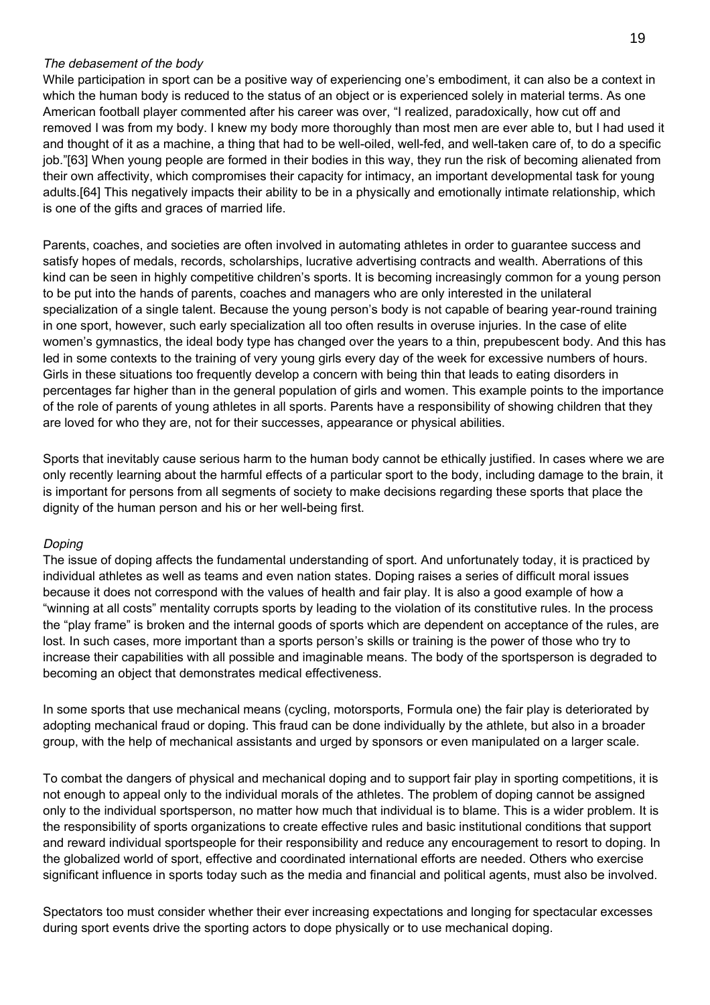#### The debasement of the body

While participation in sport can be a positive way of experiencing one's embodiment, it can also be a context in which the human body is reduced to the status of an object or is experienced solely in material terms. As one American football player commented after his career was over, "I realized, paradoxically, how cut off and removed I was from my body. I knew my body more thoroughly than most men are ever able to, but I had used it and thought of it as a machine, a thing that had to be well-oiled, well-fed, and well-taken care of, to do a specific job."[63] When young people are formed in their bodies in this way, they run the risk of becoming alienated from their own affectivity, which compromises their capacity for intimacy, an important developmental task for young adults.[64] This negatively impacts their ability to be in a physically and emotionally intimate relationship, which is one of the gifts and graces of married life.

Parents, coaches, and societies are often involved in automating athletes in order to guarantee success and satisfy hopes of medals, records, scholarships, lucrative advertising contracts and wealth. Aberrations of this kind can be seen in highly competitive children's sports. It is becoming increasingly common for a young person to be put into the hands of parents, coaches and managers who are only interested in the unilateral specialization of a single talent. Because the young person's body is not capable of bearing year-round training in one sport, however, such early specialization all too often results in overuse injuries. In the case of elite women's gymnastics, the ideal body type has changed over the years to a thin, prepubescent body. And this has led in some contexts to the training of very young girls every day of the week for excessive numbers of hours. Girls in these situations too frequently develop a concern with being thin that leads to eating disorders in percentages far higher than in the general population of girls and women. This example points to the importance of the role of parents of young athletes in all sports. Parents have a responsibility of showing children that they are loved for who they are, not for their successes, appearance or physical abilities.

Sports that inevitably cause serious harm to the human body cannot be ethically justified. In cases where we are only recently learning about the harmful effects of a particular sport to the body, including damage to the brain, it is important for persons from all segments of society to make decisions regarding these sports that place the dignity of the human person and his or her well-being first.

# Doping

The issue of doping affects the fundamental understanding of sport. And unfortunately today, it is practiced by individual athletes as well as teams and even nation states. Doping raises a series of difficult moral issues because it does not correspond with the values of health and fair play. It is also a good example of how a "winning at all costs" mentality corrupts sports by leading to the violation of its constitutive rules. In the process the "play frame" is broken and the internal goods of sports which are dependent on acceptance of the rules, are lost. In such cases, more important than a sports person's skills or training is the power of those who try to increase their capabilities with all possible and imaginable means. The body of the sportsperson is degraded to becoming an object that demonstrates medical effectiveness.

In some sports that use mechanical means (cycling, motorsports, Formula one) the fair play is deteriorated by adopting mechanical fraud or doping. This fraud can be done individually by the athlete, but also in a broader group, with the help of mechanical assistants and urged by sponsors or even manipulated on a larger scale.

To combat the dangers of physical and mechanical doping and to support fair play in sporting competitions, it is not enough to appeal only to the individual morals of the athletes. The problem of doping cannot be assigned only to the individual sportsperson, no matter how much that individual is to blame. This is a wider problem. It is the responsibility of sports organizations to create effective rules and basic institutional conditions that support and reward individual sportspeople for their responsibility and reduce any encouragement to resort to doping. In the globalized world of sport, effective and coordinated international efforts are needed. Others who exercise significant influence in sports today such as the media and financial and political agents, must also be involved.

Spectators too must consider whether their ever increasing expectations and longing for spectacular excesses during sport events drive the sporting actors to dope physically or to use mechanical doping.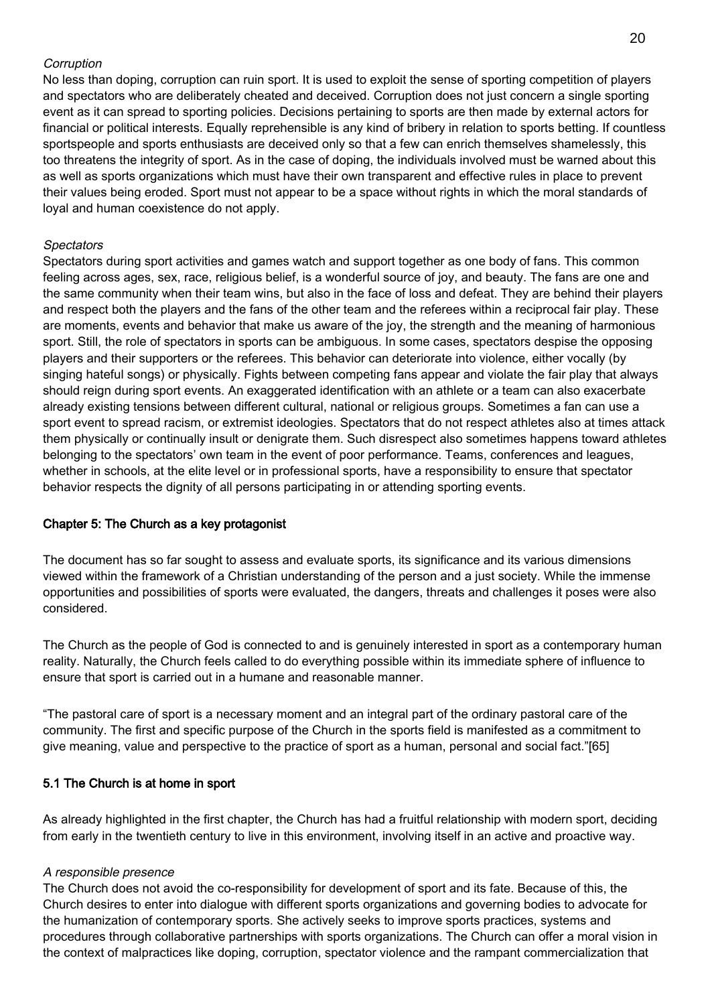### **Corruption**

No less than doping, corruption can ruin sport. It is used to exploit the sense of sporting competition of players and spectators who are deliberately cheated and deceived. Corruption does not just concern a single sporting event as it can spread to sporting policies. Decisions pertaining to sports are then made by external actors for financial or political interests. Equally reprehensible is any kind of bribery in relation to sports betting. If countless sportspeople and sports enthusiasts are deceived only so that a few can enrich themselves shamelessly, this too threatens the integrity of sport. As in the case of doping, the individuals involved must be warned about this as well as sports organizations which must have their own transparent and effective rules in place to prevent their values being eroded. Sport must not appear to be a space without rights in which the moral standards of loyal and human coexistence do not apply.

### **Spectators**

Spectators during sport activities and games watch and support together as one body of fans. This common feeling across ages, sex, race, religious belief, is a wonderful source of joy, and beauty. The fans are one and the same community when their team wins, but also in the face of loss and defeat. They are behind their players and respect both the players and the fans of the other team and the referees within a reciprocal fair play. These are moments, events and behavior that make us aware of the joy, the strength and the meaning of harmonious sport. Still, the role of spectators in sports can be ambiguous. In some cases, spectators despise the opposing players and their supporters or the referees. This behavior can deteriorate into violence, either vocally (by singing hateful songs) or physically. Fights between competing fans appear and violate the fair play that always should reign during sport events. An exaggerated identification with an athlete or a team can also exacerbate already existing tensions between different cultural, national or religious groups. Sometimes a fan can use a sport event to spread racism, or extremist ideologies. Spectators that do not respect athletes also at times attack them physically or continually insult or denigrate them. Such disrespect also sometimes happens toward athletes belonging to the spectators' own team in the event of poor performance. Teams, conferences and leagues, whether in schools, at the elite level or in professional sports, have a responsibility to ensure that spectator behavior respects the dignity of all persons participating in or attending sporting events.

# Chapter 5: The Church as a key protagonist

The document has so far sought to assess and evaluate sports, its significance and its various dimensions viewed within the framework of a Christian understanding of the person and a just society. While the immense opportunities and possibilities of sports were evaluated, the dangers, threats and challenges it poses were also considered.

The Church as the people of God is connected to and is genuinely interested in sport as a contemporary human reality. Naturally, the Church feels called to do everything possible within its immediate sphere of influence to ensure that sport is carried out in a humane and reasonable manner.

"The pastoral care of sport is a necessary moment and an integral part of the ordinary pastoral care of the community. The first and specific purpose of the Church in the sports field is manifested as a commitment to give meaning, value and perspective to the practice of sport as a human, personal and social fact."[65]

# 5.1 The Church is at home in sport

As already highlighted in the first chapter, the Church has had a fruitful relationship with modern sport, deciding from early in the twentieth century to live in this environment, involving itself in an active and proactive way.

#### A responsible presence

The Church does not avoid the co-responsibility for development of sport and its fate. Because of this, the Church desires to enter into dialogue with different sports organizations and governing bodies to advocate for the humanization of contemporary sports. She actively seeks to improve sports practices, systems and procedures through collaborative partnerships with sports organizations. The Church can offer a moral vision in the context of malpractices like doping, corruption, spectator violence and the rampant commercialization that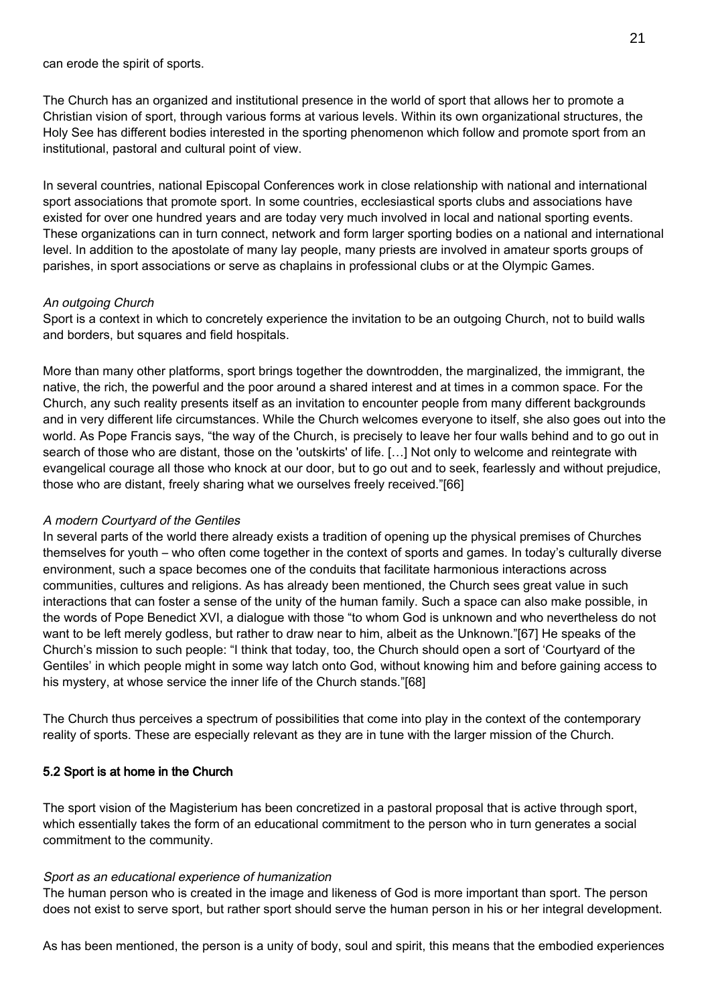can erode the spirit of sports.

The Church has an organized and institutional presence in the world of sport that allows her to promote a Christian vision of sport, through various forms at various levels. Within its own organizational structures, the Holy See has different bodies interested in the sporting phenomenon which follow and promote sport from an institutional, pastoral and cultural point of view.

In several countries, national Episcopal Conferences work in close relationship with national and international sport associations that promote sport. In some countries, ecclesiastical sports clubs and associations have existed for over one hundred years and are today very much involved in local and national sporting events. These organizations can in turn connect, network and form larger sporting bodies on a national and international level. In addition to the apostolate of many lay people, many priests are involved in amateur sports groups of parishes, in sport associations or serve as chaplains in professional clubs or at the Olympic Games.

#### An outgoing Church

Sport is a context in which to concretely experience the invitation to be an outgoing Church, not to build walls and borders, but squares and field hospitals.

More than many other platforms, sport brings together the downtrodden, the marginalized, the immigrant, the native, the rich, the powerful and the poor around a shared interest and at times in a common space. For the Church, any such reality presents itself as an invitation to encounter people from many different backgrounds and in very different life circumstances. While the Church welcomes everyone to itself, she also goes out into the world. As Pope Francis says, "the way of the Church, is precisely to leave her four walls behind and to go out in search of those who are distant, those on the 'outskirts' of life. […] Not only to welcome and reintegrate with evangelical courage all those who knock at our door, but to go out and to seek, fearlessly and without prejudice, those who are distant, freely sharing what we ourselves freely received."[66]

# A modern Courtyard of the Gentiles

In several parts of the world there already exists a tradition of opening up the physical premises of Churches themselves for youth – who often come together in the context of sports and games. In today's culturally diverse environment, such a space becomes one of the conduits that facilitate harmonious interactions across communities, cultures and religions. As has already been mentioned, the Church sees great value in such interactions that can foster a sense of the unity of the human family. Such a space can also make possible, in the words of Pope Benedict XVI, a dialogue with those "to whom God is unknown and who nevertheless do not want to be left merely godless, but rather to draw near to him, albeit as the Unknown."[67] He speaks of the Church's mission to such people: "I think that today, too, the Church should open a sort of 'Courtyard of the Gentiles' in which people might in some way latch onto God, without knowing him and before gaining access to his mystery, at whose service the inner life of the Church stands."[68]

The Church thus perceives a spectrum of possibilities that come into play in the context of the contemporary reality of sports. These are especially relevant as they are in tune with the larger mission of the Church.

# 5.2 Sport is at home in the Church

The sport vision of the Magisterium has been concretized in a pastoral proposal that is active through sport, which essentially takes the form of an educational commitment to the person who in turn generates a social commitment to the community.

#### Sport as an educational experience of humanization

The human person who is created in the image and likeness of God is more important than sport. The person does not exist to serve sport, but rather sport should serve the human person in his or her integral development.

As has been mentioned, the person is a unity of body, soul and spirit, this means that the embodied experiences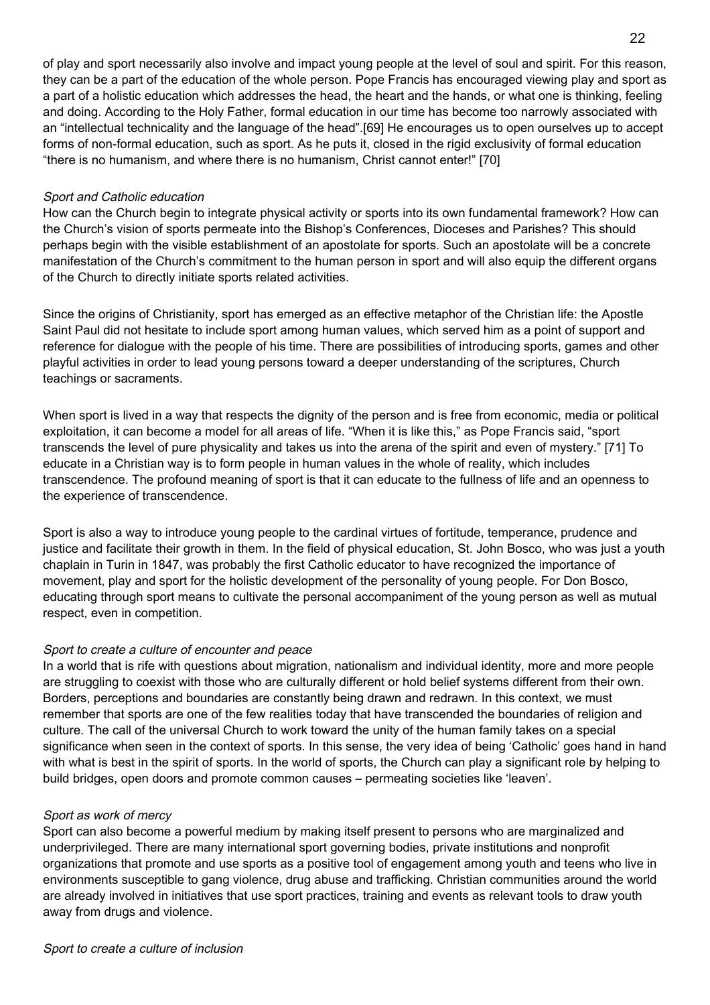of play and sport necessarily also involve and impact young people at the level of soul and spirit. For this reason, they can be a part of the education of the whole person. Pope Francis has encouraged viewing play and sport as a part of a holistic education which addresses the head, the heart and the hands, or what one is thinking, feeling and doing. According to the Holy Father, formal education in our time has become too narrowly associated with an "intellectual technicality and the language of the head".[69] He encourages us to open ourselves up to accept forms of non-formal education, such as sport. As he puts it, closed in the rigid exclusivity of formal education "there is no humanism, and where there is no humanism, Christ cannot enter!" [70]

### Sport and Catholic education

How can the Church begin to integrate physical activity or sports into its own fundamental framework? How can the Church's vision of sports permeate into the Bishop's Conferences, Dioceses and Parishes? This should perhaps begin with the visible establishment of an apostolate for sports. Such an apostolate will be a concrete manifestation of the Church's commitment to the human person in sport and will also equip the different organs of the Church to directly initiate sports related activities.

Since the origins of Christianity, sport has emerged as an effective metaphor of the Christian life: the Apostle Saint Paul did not hesitate to include sport among human values, which served him as a point of support and reference for dialogue with the people of his time. There are possibilities of introducing sports, games and other playful activities in order to lead young persons toward a deeper understanding of the scriptures, Church teachings or sacraments.

When sport is lived in a way that respects the dignity of the person and is free from economic, media or political exploitation, it can become a model for all areas of life. "When it is like this," as Pope Francis said, "sport transcends the level of pure physicality and takes us into the arena of the spirit and even of mystery." [71] To educate in a Christian way is to form people in human values in the whole of reality, which includes transcendence. The profound meaning of sport is that it can educate to the fullness of life and an openness to the experience of transcendence.

Sport is also a way to introduce young people to the cardinal virtues of fortitude, temperance, prudence and justice and facilitate their growth in them. In the field of physical education, St. John Bosco, who was just a youth chaplain in Turin in 1847, was probably the first Catholic educator to have recognized the importance of movement, play and sport for the holistic development of the personality of young people. For Don Bosco, educating through sport means to cultivate the personal accompaniment of the young person as well as mutual respect, even in competition.

# Sport to create a culture of encounter and peace

In a world that is rife with questions about migration, nationalism and individual identity, more and more people are struggling to coexist with those who are culturally different or hold belief systems different from their own. Borders, perceptions and boundaries are constantly being drawn and redrawn. In this context, we must remember that sports are one of the few realities today that have transcended the boundaries of religion and culture. The call of the universal Church to work toward the unity of the human family takes on a special significance when seen in the context of sports. In this sense, the very idea of being 'Catholic' goes hand in hand with what is best in the spirit of sports. In the world of sports, the Church can play a significant role by helping to build bridges, open doors and promote common causes – permeating societies like 'leaven'.

# Sport as work of mercy

Sport can also become a powerful medium by making itself present to persons who are marginalized and underprivileged. There are many international sport governing bodies, private institutions and nonprofit organizations that promote and use sports as a positive tool of engagement among youth and teens who live in environments susceptible to gang violence, drug abuse and trafficking. Christian communities around the world are already involved in initiatives that use sport practices, training and events as relevant tools to draw youth away from drugs and violence.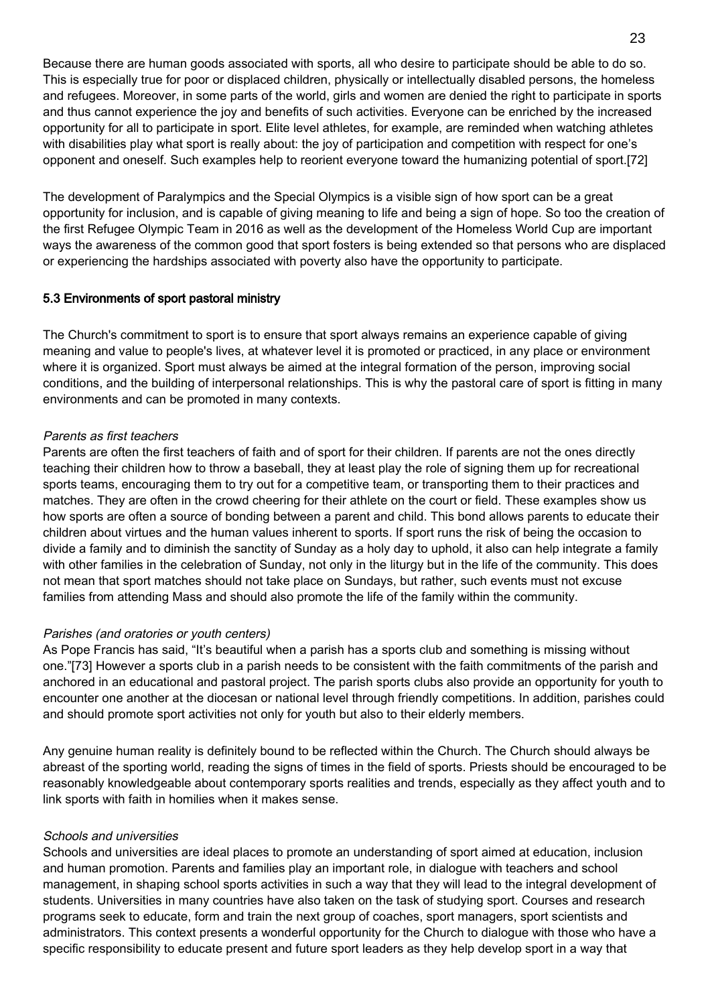Because there are human goods associated with sports, all who desire to participate should be able to do so. This is especially true for poor or displaced children, physically or intellectually disabled persons, the homeless and refugees. Moreover, in some parts of the world, girls and women are denied the right to participate in sports and thus cannot experience the joy and benefits of such activities. Everyone can be enriched by the increased opportunity for all to participate in sport. Elite level athletes, for example, are reminded when watching athletes with disabilities play what sport is really about: the joy of participation and competition with respect for one's opponent and oneself. Such examples help to reorient everyone toward the humanizing potential of sport.[72]

The development of Paralympics and the Special Olympics is a visible sign of how sport can be a great opportunity for inclusion, and is capable of giving meaning to life and being a sign of hope. So too the creation of the first Refugee Olympic Team in 2016 as well as the development of the Homeless World Cup are important ways the awareness of the common good that sport fosters is being extended so that persons who are displaced or experiencing the hardships associated with poverty also have the opportunity to participate.

### 5.3 Environments of sport pastoral ministry

The Church's commitment to sport is to ensure that sport always remains an experience capable of giving meaning and value to people's lives, at whatever level it is promoted or practiced, in any place or environment where it is organized. Sport must always be aimed at the integral formation of the person, improving social conditions, and the building of interpersonal relationships. This is why the pastoral care of sport is fitting in many environments and can be promoted in many contexts.

### Parents as first teachers

Parents are often the first teachers of faith and of sport for their children. If parents are not the ones directly teaching their children how to throw a baseball, they at least play the role of signing them up for recreational sports teams, encouraging them to try out for a competitive team, or transporting them to their practices and matches. They are often in the crowd cheering for their athlete on the court or field. These examples show us how sports are often a source of bonding between a parent and child. This bond allows parents to educate their children about virtues and the human values inherent to sports. If sport runs the risk of being the occasion to divide a family and to diminish the sanctity of Sunday as a holy day to uphold, it also can help integrate a family with other families in the celebration of Sunday, not only in the liturgy but in the life of the community. This does not mean that sport matches should not take place on Sundays, but rather, such events must not excuse families from attending Mass and should also promote the life of the family within the community.

#### Parishes (and oratories or youth centers)

As Pope Francis has said, "It's beautiful when a parish has a sports club and something is missing without one."[73] However a sports club in a parish needs to be consistent with the faith commitments of the parish and anchored in an educational and pastoral project. The parish sports clubs also provide an opportunity for youth to encounter one another at the diocesan or national level through friendly competitions. In addition, parishes could and should promote sport activities not only for youth but also to their elderly members.

Any genuine human reality is definitely bound to be reflected within the Church. The Church should always be abreast of the sporting world, reading the signs of times in the field of sports. Priests should be encouraged to be reasonably knowledgeable about contemporary sports realities and trends, especially as they affect youth and to link sports with faith in homilies when it makes sense.

#### Schools and universities

Schools and universities are ideal places to promote an understanding of sport aimed at education, inclusion and human promotion. Parents and families play an important role, in dialogue with teachers and school management, in shaping school sports activities in such a way that they will lead to the integral development of students. Universities in many countries have also taken on the task of studying sport. Courses and research programs seek to educate, form and train the next group of coaches, sport managers, sport scientists and administrators. This context presents a wonderful opportunity for the Church to dialogue with those who have a specific responsibility to educate present and future sport leaders as they help develop sport in a way that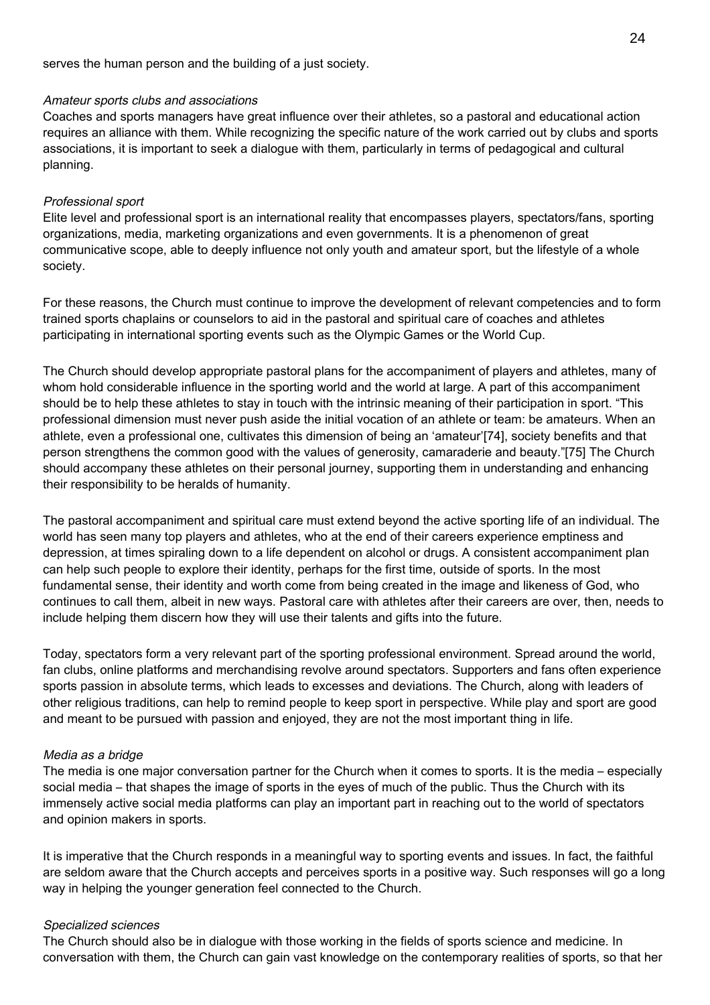serves the human person and the building of a just society.

#### Amateur sports clubs and associations

Coaches and sports managers have great influence over their athletes, so a pastoral and educational action requires an alliance with them. While recognizing the specific nature of the work carried out by clubs and sports associations, it is important to seek a dialogue with them, particularly in terms of pedagogical and cultural planning.

### Professional sport

Elite level and professional sport is an international reality that encompasses players, spectators/fans, sporting organizations, media, marketing organizations and even governments. It is a phenomenon of great communicative scope, able to deeply influence not only youth and amateur sport, but the lifestyle of a whole society.

For these reasons, the Church must continue to improve the development of relevant competencies and to form trained sports chaplains or counselors to aid in the pastoral and spiritual care of coaches and athletes participating in international sporting events such as the Olympic Games or the World Cup.

The Church should develop appropriate pastoral plans for the accompaniment of players and athletes, many of whom hold considerable influence in the sporting world and the world at large. A part of this accompaniment should be to help these athletes to stay in touch with the intrinsic meaning of their participation in sport. "This professional dimension must never push aside the initial vocation of an athlete or team: be amateurs. When an athlete, even a professional one, cultivates this dimension of being an 'amateur'[74], society benefits and that person strengthens the common good with the values of generosity, camaraderie and beauty."[75] The Church should accompany these athletes on their personal journey, supporting them in understanding and enhancing their responsibility to be heralds of humanity.

The pastoral accompaniment and spiritual care must extend beyond the active sporting life of an individual. The world has seen many top players and athletes, who at the end of their careers experience emptiness and depression, at times spiraling down to a life dependent on alcohol or drugs. A consistent accompaniment plan can help such people to explore their identity, perhaps for the first time, outside of sports. In the most fundamental sense, their identity and worth come from being created in the image and likeness of God, who continues to call them, albeit in new ways. Pastoral care with athletes after their careers are over, then, needs to include helping them discern how they will use their talents and gifts into the future.

Today, spectators form a very relevant part of the sporting professional environment. Spread around the world, fan clubs, online platforms and merchandising revolve around spectators. Supporters and fans often experience sports passion in absolute terms, which leads to excesses and deviations. The Church, along with leaders of other religious traditions, can help to remind people to keep sport in perspective. While play and sport are good and meant to be pursued with passion and enjoyed, they are not the most important thing in life.

#### Media as a bridge

The media is one major conversation partner for the Church when it comes to sports. It is the media – especially social media – that shapes the image of sports in the eyes of much of the public. Thus the Church with its immensely active social media platforms can play an important part in reaching out to the world of spectators and opinion makers in sports.

It is imperative that the Church responds in a meaningful way to sporting events and issues. In fact, the faithful are seldom aware that the Church accepts and perceives sports in a positive way. Such responses will go a long way in helping the younger generation feel connected to the Church.

#### Specialized sciences

The Church should also be in dialogue with those working in the fields of sports science and medicine. In conversation with them, the Church can gain vast knowledge on the contemporary realities of sports, so that her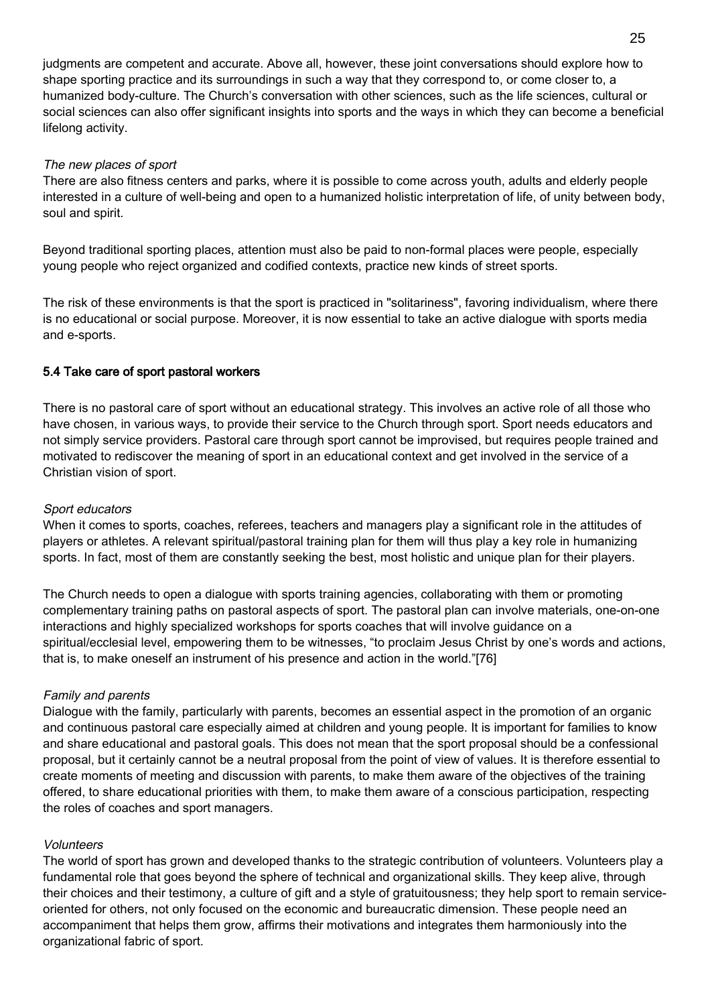judgments are competent and accurate. Above all, however, these joint conversations should explore how to shape sporting practice and its surroundings in such a way that they correspond to, or come closer to, a humanized body-culture. The Church's conversation with other sciences, such as the life sciences, cultural or social sciences can also offer significant insights into sports and the ways in which they can become a beneficial lifelong activity.

### The new places of sport

There are also fitness centers and parks, where it is possible to come across youth, adults and elderly people interested in a culture of well-being and open to a humanized holistic interpretation of life, of unity between body, soul and spirit.

Beyond traditional sporting places, attention must also be paid to non-formal places were people, especially young people who reject organized and codified contexts, practice new kinds of street sports.

The risk of these environments is that the sport is practiced in "solitariness", favoring individualism, where there is no educational or social purpose. Moreover, it is now essential to take an active dialogue with sports media and e-sports.

# 5.4 Take care of sport pastoral workers

There is no pastoral care of sport without an educational strategy. This involves an active role of all those who have chosen, in various ways, to provide their service to the Church through sport. Sport needs educators and not simply service providers. Pastoral care through sport cannot be improvised, but requires people trained and motivated to rediscover the meaning of sport in an educational context and get involved in the service of a Christian vision of sport.

#### Sport educators

When it comes to sports, coaches, referees, teachers and managers play a significant role in the attitudes of players or athletes. A relevant spiritual/pastoral training plan for them will thus play a key role in humanizing sports. In fact, most of them are constantly seeking the best, most holistic and unique plan for their players.

The Church needs to open a dialogue with sports training agencies, collaborating with them or promoting complementary training paths on pastoral aspects of sport. The pastoral plan can involve materials, one-on-one interactions and highly specialized workshops for sports coaches that will involve guidance on a spiritual/ecclesial level, empowering them to be witnesses, "to proclaim Jesus Christ by one's words and actions, that is, to make oneself an instrument of his presence and action in the world."[76]

#### Family and parents

Dialogue with the family, particularly with parents, becomes an essential aspect in the promotion of an organic and continuous pastoral care especially aimed at children and young people. It is important for families to know and share educational and pastoral goals. This does not mean that the sport proposal should be a confessional proposal, but it certainly cannot be a neutral proposal from the point of view of values. It is therefore essential to create moments of meeting and discussion with parents, to make them aware of the objectives of the training offered, to share educational priorities with them, to make them aware of a conscious participation, respecting the roles of coaches and sport managers.

#### Volunteers

The world of sport has grown and developed thanks to the strategic contribution of volunteers. Volunteers play a fundamental role that goes beyond the sphere of technical and organizational skills. They keep alive, through their choices and their testimony, a culture of gift and a style of gratuitousness; they help sport to remain serviceoriented for others, not only focused on the economic and bureaucratic dimension. These people need an accompaniment that helps them grow, affirms their motivations and integrates them harmoniously into the organizational fabric of sport.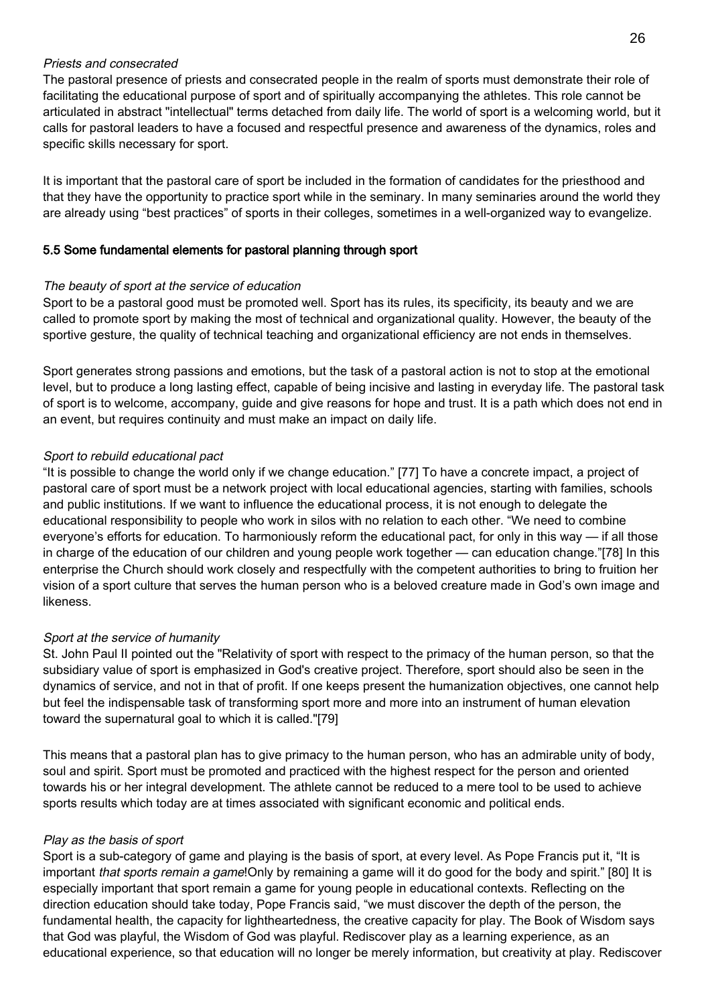### Priests and consecrated

The pastoral presence of priests and consecrated people in the realm of sports must demonstrate their role of facilitating the educational purpose of sport and of spiritually accompanying the athletes. This role cannot be articulated in abstract "intellectual" terms detached from daily life. The world of sport is a welcoming world, but it calls for pastoral leaders to have a focused and respectful presence and awareness of the dynamics, roles and specific skills necessary for sport.

It is important that the pastoral care of sport be included in the formation of candidates for the priesthood and that they have the opportunity to practice sport while in the seminary. In many seminaries around the world they are already using "best practices" of sports in their colleges, sometimes in a well-organized way to evangelize.

### 5.5 Some fundamental elements for pastoral planning through sport

### The beauty of sport at the service of education

Sport to be a pastoral good must be promoted well. Sport has its rules, its specificity, its beauty and we are called to promote sport by making the most of technical and organizational quality. However, the beauty of the sportive gesture, the quality of technical teaching and organizational efficiency are not ends in themselves.

Sport generates strong passions and emotions, but the task of a pastoral action is not to stop at the emotional level, but to produce a long lasting effect, capable of being incisive and lasting in everyday life. The pastoral task of sport is to welcome, accompany, guide and give reasons for hope and trust. It is a path which does not end in an event, but requires continuity and must make an impact on daily life.

### Sport to rebuild educational pact

"It is possible to change the world only if we change education." [77] To have a concrete impact, a project of pastoral care of sport must be a network project with local educational agencies, starting with families, schools and public institutions. If we want to influence the educational process, it is not enough to delegate the educational responsibility to people who work in silos with no relation to each other. "We need to combine everyone's efforts for education. To harmoniously reform the educational pact, for only in this way — if all those in charge of the education of our children and young people work together — can education change."[78] In this enterprise the Church should work closely and respectfully with the competent authorities to bring to fruition her vision of a sport culture that serves the human person who is a beloved creature made in God's own image and likeness.

#### Sport at the service of humanity

St. John Paul II pointed out the "Relativity of sport with respect to the primacy of the human person, so that the subsidiary value of sport is emphasized in God's creative project. Therefore, sport should also be seen in the dynamics of service, and not in that of profit. If one keeps present the humanization objectives, one cannot help but feel the indispensable task of transforming sport more and more into an instrument of human elevation toward the supernatural goal to which it is called."[79]

This means that a pastoral plan has to give primacy to the human person, who has an admirable unity of body, soul and spirit. Sport must be promoted and practiced with the highest respect for the person and oriented towards his or her integral development. The athlete cannot be reduced to a mere tool to be used to achieve sports results which today are at times associated with significant economic and political ends.

#### Play as the basis of sport

Sport is a sub-category of game and playing is the basis of sport, at every level. As Pope Francis put it, "It is important that sports remain a game! Only by remaining a game will it do good for the body and spirit." [80] It is especially important that sport remain a game for young people in educational contexts. Reflecting on the direction education should take today, Pope Francis said, "we must discover the depth of the person, the fundamental health, the capacity for lightheartedness, the creative capacity for play. The Book of Wisdom says that God was playful, the Wisdom of God was playful. Rediscover play as a learning experience, as an educational experience, so that education will no longer be merely information, but creativity at play. Rediscover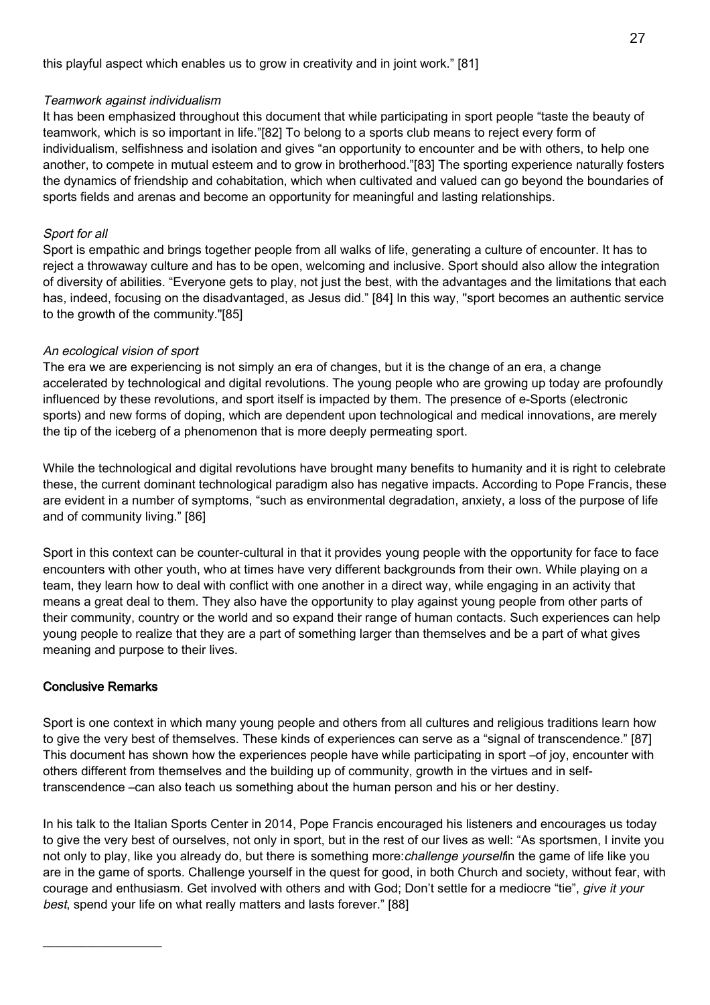### Teamwork against individualism

It has been emphasized throughout this document that while participating in sport people "taste the beauty of teamwork, which is so important in life."[82] To belong to a sports club means to reject every form of individualism, selfishness and isolation and gives "an opportunity to encounter and be with others, to help one another, to compete in mutual esteem and to grow in brotherhood."[83] The sporting experience naturally fosters the dynamics of friendship and cohabitation, which when cultivated and valued can go beyond the boundaries of sports fields and arenas and become an opportunity for meaningful and lasting relationships.

# Sport for all

Sport is empathic and brings together people from all walks of life, generating a culture of encounter. It has to reject a throwaway culture and has to be open, welcoming and inclusive. Sport should also allow the integration of diversity of abilities. "Everyone gets to play, not just the best, with the advantages and the limitations that each has, indeed, focusing on the disadvantaged, as Jesus did." [84] In this way, "sport becomes an authentic service to the growth of the community."[85]

# An ecological vision of sport

The era we are experiencing is not simply an era of changes, but it is the change of an era, a change accelerated by technological and digital revolutions. The young people who are growing up today are profoundly influenced by these revolutions, and sport itself is impacted by them. The presence of e-Sports (electronic sports) and new forms of doping, which are dependent upon technological and medical innovations, are merely the tip of the iceberg of a phenomenon that is more deeply permeating sport.

While the technological and digital revolutions have brought many benefits to humanity and it is right to celebrate these, the current dominant technological paradigm also has negative impacts. According to Pope Francis, these are evident in a number of symptoms, "such as environmental degradation, anxiety, a loss of the purpose of life and of community living." [86]

Sport in this context can be counter-cultural in that it provides young people with the opportunity for face to face encounters with other youth, who at times have very different backgrounds from their own. While playing on a team, they learn how to deal with conflict with one another in a direct way, while engaging in an activity that means a great deal to them. They also have the opportunity to play against young people from other parts of their community, country or the world and so expand their range of human contacts. Such experiences can help young people to realize that they are a part of something larger than themselves and be a part of what gives meaning and purpose to their lives.

# Conclusive Remarks

 $\_$ 

Sport is one context in which many young people and others from all cultures and religious traditions learn how to give the very best of themselves. These kinds of experiences can serve as a "signal of transcendence." [87] This document has shown how the experiences people have while participating in sport –of joy, encounter with others different from themselves and the building up of community, growth in the virtues and in selftranscendence –can also teach us something about the human person and his or her destiny.

In his talk to the Italian Sports Center in 2014, Pope Francis encouraged his listeners and encourages us today to give the very best of ourselves, not only in sport, but in the rest of our lives as well: "As sportsmen, I invite you not only to play, like you already do, but there is something more: *challenge yourselfin* the game of life like you are in the game of sports. Challenge yourself in the quest for good, in both Church and society, without fear, with courage and enthusiasm. Get involved with others and with God; Don't settle for a mediocre "tie", give it your best, spend your life on what really matters and lasts forever." [88]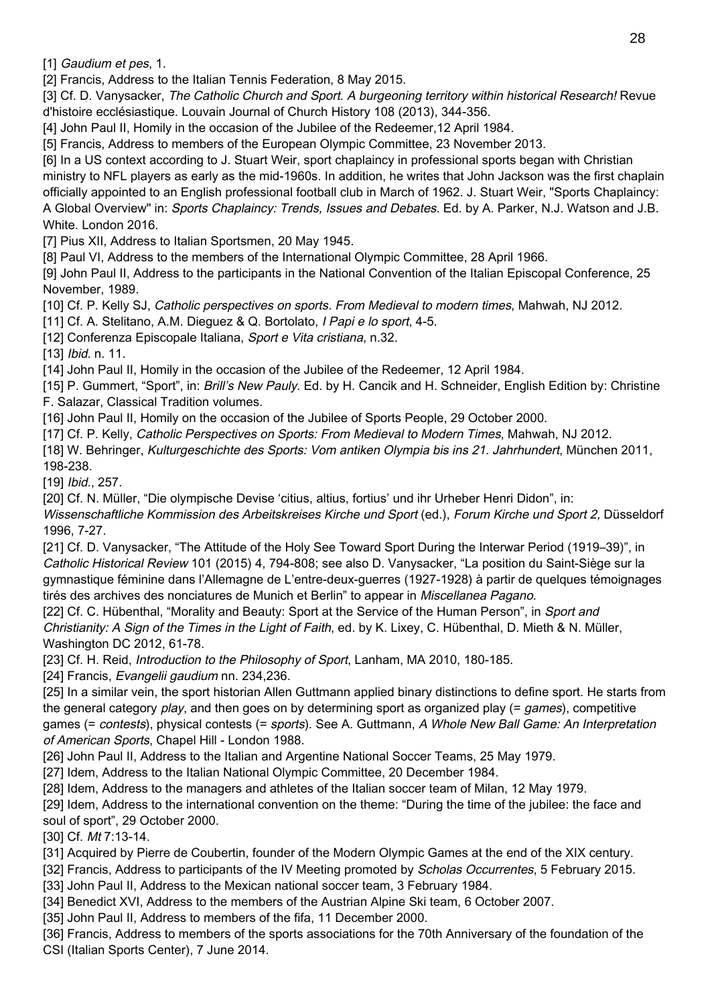[1] Gaudium et pes, 1.

[2] Francis, Address to the Italian Tennis Federation, 8 May 2015.

[3] Cf. D. Vanysacker, The Catholic Church and Sport. A burgeoning territory within historical Research! Revue d'histoire ecclésiastique. Louvain Journal of Church History 108 (2013), 344-356.

[4] John Paul II, Homily in the occasion of the Jubilee of the Redeemer,12 April 1984.

[5] Francis, Address to members of the European Olympic Committee, 23 November 2013.

[6] In a US context according to J. Stuart Weir, sport chaplaincy in professional sports began with Christian ministry to NFL players as early as the mid-1960s. In addition, he writes that John Jackson was the first chaplain officially appointed to an English professional football club in March of 1962. J. Stuart Weir, "Sports Chaplaincy: A Global Overview" in: Sports Chaplaincy: Trends, Issues and Debates. Ed. by A. Parker, N.J. Watson and J.B. White. London 2016.

[7] Pius XII, Address to Italian Sportsmen, 20 May 1945.

[8] Paul VI, Address to the members of the International Olympic Committee, 28 April 1966.

[9] John Paul II, Address to the participants in the National Convention of the Italian Episcopal Conference, 25 November, 1989.

[10] Cf. P. Kelly SJ, Catholic perspectives on sports. From Medieval to modern times, Mahwah, NJ 2012.

[11] Cf. A. Stelitano, A.M. Dieguez & Q. Bortolato, *I Papi e lo sport*, 4-5.

[12] Conferenza Episcopale Italiana, Sport e Vita cristiana, n.32.

[13] *Ibid.* n. 11.

[14] John Paul II, Homily in the occasion of the Jubilee of the Redeemer, 12 April 1984.

[15] P. Gummert, "Sport", in: Brill's New Pauly. Ed. by H. Cancik and H. Schneider, English Edition by: Christine F. Salazar, Classical Tradition volumes.

[16] John Paul II, Homily on the occasion of the Jubilee of Sports People, 29 October 2000.

[17] Cf. P. Kelly, *Catholic Perspectives on Sports: From Medieval to Modern Times*, Mahwah, NJ 2012.

[18] W. Behringer, Kulturgeschichte des Sports: Vom antiken Olympia bis ins 21. Jahrhundert, München 2011,

198-238.

[19] *Ibid.*, 257.

[20] Cf. N. Müller, "Die olympische Devise 'citius, altius, fortius' und ihr Urheber Henri Didon", in:

Wissenschaftliche Kommission des Arbeitskreises Kirche und Sport (ed.), Forum Kirche und Sport 2, Düsseldorf 1996, 7-27.

[21] Cf. D. Vanysacker, "The Attitude of the Holy See Toward Sport During the Interwar Period (1919–39)", in Catholic Historical Review 101 (2015) 4, 794-808; see also D. Vanysacker, "La position du Saint-Siège sur la gymnastique féminine dans l'Allemagne de L'entre-deux-guerres (1927-1928) à partir de quelques témoignages tirés des archives des nonciatures de Munich et Berlin" to appear in Miscellanea Pagano.

[22] Cf. C. Hübenthal, "Morality and Beauty: Sport at the Service of the Human Person", in Sport and Christianity: A Sign of the Times in the Light of Faith, ed. by K. Lixey, C. Hübenthal, D. Mieth & N. Müller, Washington DC 2012, 61-78.

[23] Cf. H. Reid, *Introduction to the Philosophy of Sport*, Lanham, MA 2010, 180-185.

[24] Francis, Evangelii gaudium nn. 234,236.

[25] In a similar vein, the sport historian Allen Guttmann applied binary distinctions to define sport. He starts from the general category play, and then goes on by determining sport as organized play (= games), competitive games (= contests), physical contests (= sports). See A. Guttmann, A Whole New Ball Game: An Interpretation of American Sports, Chapel Hill - London 1988.

[26] John Paul II, Address to the Italian and Argentine National Soccer Teams, 25 May 1979.

[27] Idem, Address to the Italian National Olympic Committee, 20 December 1984.

[28] Idem, Address to the managers and athletes of the Italian soccer team of Milan, 12 May 1979.

[29] Idem, Address to the international convention on the theme: "During the time of the jubilee: the face and soul of sport", 29 October 2000.

[30] Cf. Mt 7:13-14.

[31] Acquired by Pierre de Coubertin, founder of the Modern Olympic Games at the end of the XIX century.

[32] Francis, Address to participants of the IV Meeting promoted by Scholas Occurrentes, 5 February 2015.

[33] John Paul II, Address to the Mexican national soccer team, 3 February 1984.

[34] Benedict XVI, Address to the members of the Austrian Alpine Ski team, 6 October 2007.

[35] John Paul II, Address to members of the fifa, 11 December 2000.

[36] Francis, Address to members of the sports associations for the 70th Anniversary of the foundation of the CSI (Italian Sports Center), 7 June 2014.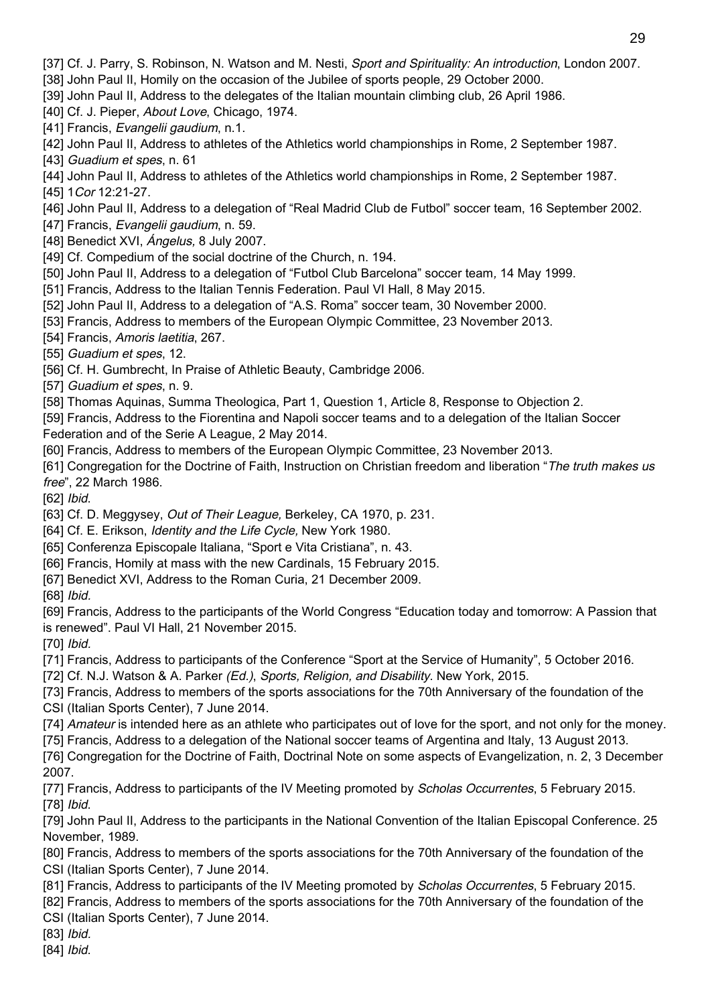[37] Cf. J. Parry, S. Robinson, N. Watson and M. Nesti, Sport and Spirituality: An introduction, London 2007.

[38] John Paul II, Homily on the occasion of the Jubilee of sports people, 29 October 2000.

[39] John Paul II, Address to the delegates of the Italian mountain climbing club, 26 April 1986.

[40] Cf. J. Pieper, About Love, Chicago, 1974.

[41] Francis, Evangelii gaudium, n.1.

[42] John Paul II, Address to athletes of the Athletics world championships in Rome, 2 September 1987.

[43] Guadium et spes, n. 61

[44] John Paul II, Address to athletes of the Athletics world championships in Rome, 2 September 1987. [45] 1 Cor 12:21-27.

[46] John Paul II, Address to a delegation of "Real Madrid Club de Futbol" soccer team, 16 September 2002.

[47] Francis, Evangelii gaudium, n. 59.

[48] Benedict XVI, *Ángelus*, 8 July 2007.

[49] Cf. Compedium of the social doctrine of the Church, n. 194.

[50] John Paul II, Address to a delegation of "Futbol Club Barcelona" soccer team, 14 May 1999.

[51] Francis, Address to the Italian Tennis Federation. Paul VI Hall, 8 May 2015.

[52] John Paul II, Address to a delegation of "A.S. Roma" soccer team, 30 November 2000.

[53] Francis, Address to members of the European Olympic Committee, 23 November 2013.

[54] Francis, Amoris laetitia, 267.

[55] Guadium et spes, 12.

[56] Cf. H. Gumbrecht, In Praise of Athletic Beauty, Cambridge 2006.

[57] Guadium et spes, n. 9.

[58] Thomas Aquinas, Summa Theologica, Part 1, Question 1, Article 8, Response to Objection 2.

[59] Francis, Address to the Fiorentina and Napoli soccer teams and to a delegation of the Italian Soccer Federation and of the Serie A League, 2 May 2014.

[60] Francis, Address to members of the European Olympic Committee, 23 November 2013.

[61] Congregation for the Doctrine of Faith, Instruction on Christian freedom and liberation "The truth makes us free", 22 March 1986.

[62] Ibid.

[63] Cf. D. Meggysey, Out of Their League, Berkeley, CA 1970, p. 231.

[64] Cf. E. Erikson, Identity and the Life Cycle, New York 1980.

[65] Conferenza Episcopale Italiana, "Sport e Vita Cristiana", n. 43.

[66] Francis, Homily at mass with the new Cardinals, 15 February 2015.

[67] Benedict XVI, Address to the Roman Curia, 21 December 2009.

[68] *Ibid.* 

[69] Francis, Address to the participants of the World Congress "Education today and tomorrow: A Passion that is renewed". Paul VI Hall, 21 November 2015.

[70] Ibid.

[71] Francis, Address to participants of the Conference "Sport at the Service of Humanity", 5 October 2016.

[72] Cf. N.J. Watson & A. Parker (Ed.), Sports, Religion, and Disability. New York, 2015.

[73] Francis, Address to members of the sports associations for the 70th Anniversary of the foundation of the

CSI (Italian Sports Center), 7 June 2014.

[74] Amateur is intended here as an athlete who participates out of love for the sport, and not only for the money.

[75] Francis, Address to a delegation of the National soccer teams of Argentina and Italy, 13 August 2013.

[76] Congregation for the Doctrine of Faith, Doctrinal Note on some aspects of Evangelization, n. 2, 3 December 2007.

[77] Francis, Address to participants of the IV Meeting promoted by Scholas Occurrentes, 5 February 2015. [78] *Ibid.* 

[79] John Paul II, Address to the participants in the National Convention of the Italian Episcopal Conference. 25 November, 1989.

[80] Francis, Address to members of the sports associations for the 70th Anniversary of the foundation of the CSI (Italian Sports Center), 7 June 2014.

[81] Francis, Address to participants of the IV Meeting promoted by Scholas Occurrentes, 5 February 2015.

[82] Francis, Address to members of the sports associations for the 70th Anniversary of the foundation of the CSI (Italian Sports Center), 7 June 2014.

[83] *Ibid.* 

[84] *Ibid.*